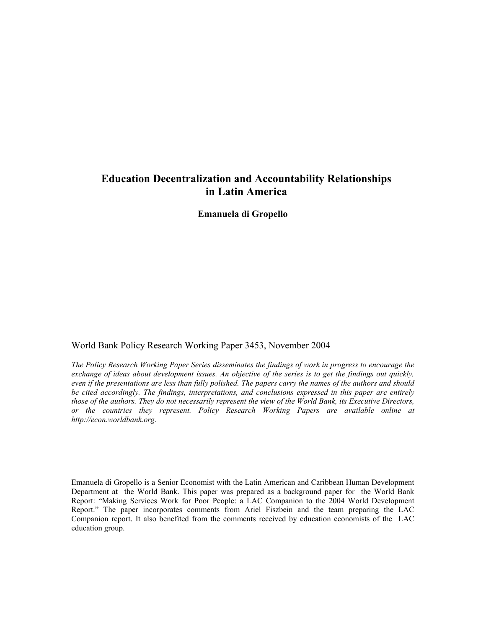## **Education Decentralization and Accountability Relationships in Latin America**

**Emanuela di Gropello** 

World Bank Policy Research Working Paper 3453, November 2004

*The Policy Research Working Paper Series disseminates the findings of work in progress to encourage the exchange of ideas about development issues. An objective of the series is to get the findings out quickly, even if the presentations are less than fully polished. The papers carry the names of the authors and should be cited accordingly. The findings, interpretations, and conclusions expressed in this paper are entirely those of the authors. They do not necessarily represent the view of the World Bank, its Executive Directors, or the countries they represent. Policy Research Working Papers are available online at http://econ.worldbank.org.* 

Emanuela di Gropello is a Senior Economist with the Latin American and Caribbean Human Development Department at the World Bank. This paper was prepared as a background paper for the World Bank Report: "Making Services Work for Poor People: a LAC Companion to the 2004 World Development Report." The paper incorporates comments from Ariel Fiszbein and the team preparing the LAC Companion report. It also benefited from the comments received by education economists of the LAC education group.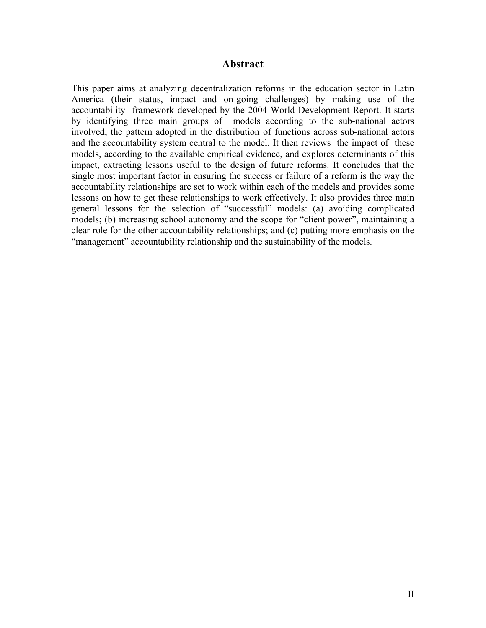### **Abstract**

This paper aims at analyzing decentralization reforms in the education sector in Latin America (their status, impact and on-going challenges) by making use of the accountability framework developed by the 2004 World Development Report. It starts by identifying three main groups of models according to the sub-national actors involved, the pattern adopted in the distribution of functions across sub-national actors and the accountability system central to the model. It then reviews the impact of these models, according to the available empirical evidence, and explores determinants of this impact, extracting lessons useful to the design of future reforms. It concludes that the single most important factor in ensuring the success or failure of a reform is the way the accountability relationships are set to work within each of the models and provides some lessons on how to get these relationships to work effectively. It also provides three main general lessons for the selection of "successful" models: (a) avoiding complicated models; (b) increasing school autonomy and the scope for "client power", maintaining a clear role for the other accountability relationships; and (c) putting more emphasis on the "management" accountability relationship and the sustainability of the models.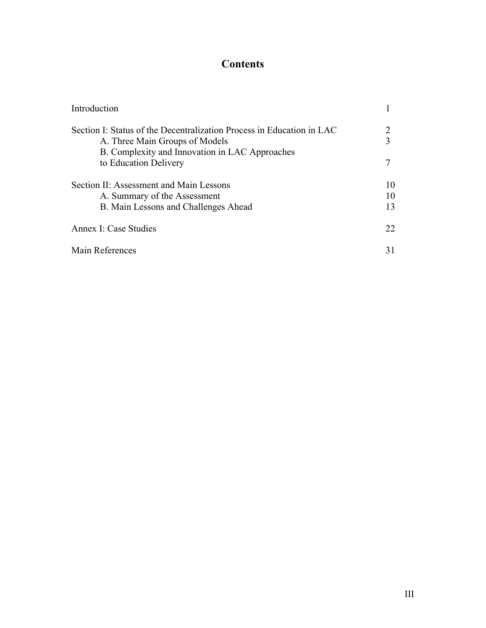# **Contents**

| Introduction                                                          |     |
|-----------------------------------------------------------------------|-----|
| Section I: Status of the Decentralization Process in Education in LAC |     |
| A. Three Main Groups of Models                                        | 3   |
| B. Complexity and Innovation in LAC Approaches                        |     |
| to Education Delivery                                                 |     |
| Section II: Assessment and Main Lessons                               |     |
| A. Summary of the Assessment                                          | 10  |
| B. Main Lessons and Challenges Ahead                                  | 13  |
| Annex I: Case Studies                                                 | 22. |
| Main References                                                       | 31  |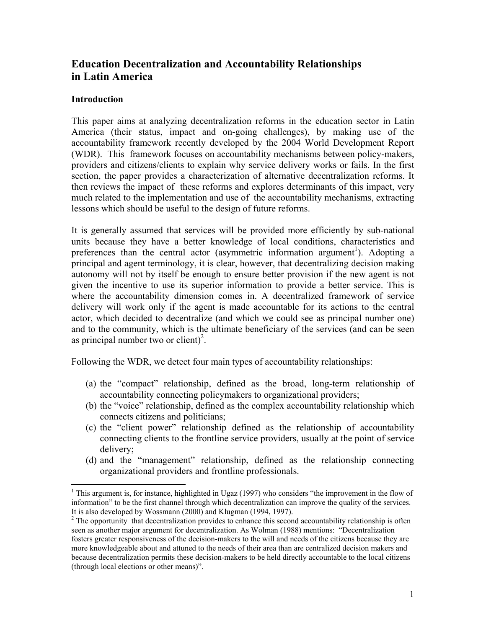# **Education Decentralization and Accountability Relationships in Latin America**

### **Introduction**

This paper aims at analyzing decentralization reforms in the education sector in Latin America (their status, impact and on-going challenges), by making use of the accountability framework recently developed by the 2004 World Development Report (WDR). This framework focuses on accountability mechanisms between policy-makers, providers and citizens/clients to explain why service delivery works or fails. In the first section, the paper provides a characterization of alternative decentralization reforms. It then reviews the impact of these reforms and explores determinants of this impact, very much related to the implementation and use of the accountability mechanisms, extracting lessons which should be useful to the design of future reforms.

It is generally assumed that services will be provided more efficiently by sub-national units because they have a better knowledge of local conditions, characteristics and preferences than the central actor (asymmetric information argument<sup>1</sup>). Adopting a principal and agent terminology, it is clear, however, that decentralizing decision making autonomy will not by itself be enough to ensure better provision if the new agent is not given the incentive to use its superior information to provide a better service. This is where the accountability dimension comes in. A decentralized framework of service delivery will work only if the agent is made accountable for its actions to the central actor, which decided to decentralize (and which we could see as principal number one) and to the community, which is the ultimate beneficiary of the services (and can be seen as principal number two or client)<sup>2</sup>.

Following the WDR, we detect four main types of accountability relationships:

- (a) the "compact" relationship, defined as the broad, long-term relationship of accountability connecting policymakers to organizational providers;
- (b) the "voice" relationship, defined as the complex accountability relationship which connects citizens and politicians;
- (c) the "client power" relationship defined as the relationship of accountability connecting clients to the frontline service providers, usually at the point of service delivery;
- (d) and the "management" relationship, defined as the relationship connecting organizational providers and frontline professionals.

<sup>1</sup> <sup>1</sup> This argument is, for instance, highlighted in Ugaz (1997) who considers "the improvement in the flow of information" to be the first channel through which decentralization can improve the quality of the services. It is also developed by Wossmann (2000) and Klugman (1994, 1997).

 $2^2$  The opportunity that decentralization provides to enhance this second accountability relationship is often seen as another major argument for decentralization. As Wolman (1988) mentions: "Decentralization fosters greater responsiveness of the decision-makers to the will and needs of the citizens because they are more knowledgeable about and attuned to the needs of their area than are centralized decision makers and because decentralization permits these decision-makers to be held directly accountable to the local citizens (through local elections or other means)".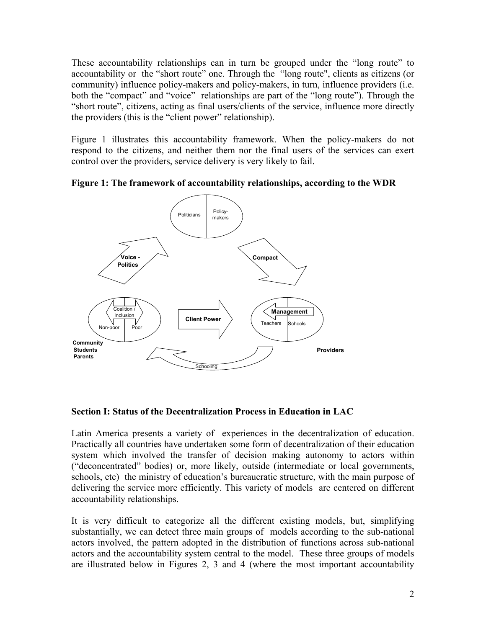These accountability relationships can in turn be grouped under the "long route" to accountability or the "short route" one. Through the "long route", clients as citizens (or community) influence policy-makers and policy-makers, in turn, influence providers (i.e. both the "compact" and "voice" relationships are part of the "long route"). Through the "short route", citizens, acting as final users/clients of the service, influence more directly the providers (this is the "client power" relationship).

Figure 1 illustrates this accountability framework. When the policy-makers do not respond to the citizens, and neither them nor the final users of the services can exert control over the providers, service delivery is very likely to fail.





### **Section I: Status of the Decentralization Process in Education in LAC**

Latin America presents a variety of experiences in the decentralization of education. Practically all countries have undertaken some form of decentralization of their education system which involved the transfer of decision making autonomy to actors within ("deconcentrated" bodies) or, more likely, outside (intermediate or local governments, schools, etc) the ministry of education's bureaucratic structure, with the main purpose of delivering the service more efficiently. This variety of models are centered on different accountability relationships.

It is very difficult to categorize all the different existing models, but, simplifying substantially, we can detect three main groups of models according to the sub-national actors involved, the pattern adopted in the distribution of functions across sub-national actors and the accountability system central to the model. These three groups of models are illustrated below in Figures 2, 3 and 4 (where the most important accountability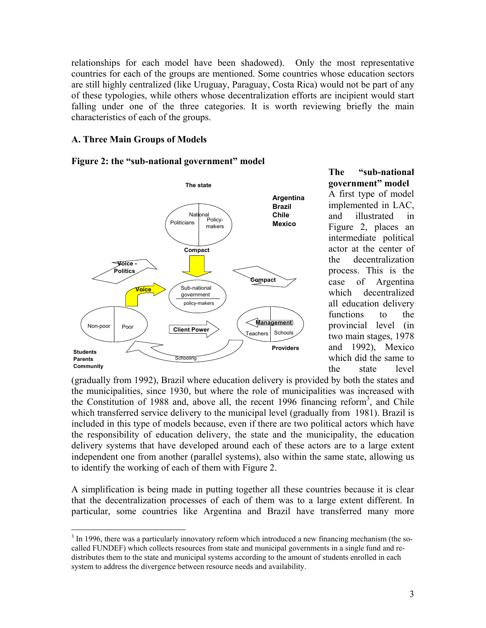relationships for each model have been shadowed). Only the most representative countries for each of the groups are mentioned. Some countries whose education sectors are still highly centralized (like Uruguay, Paraguay, Costa Rica) would not be part of any of these typologies, while others whose decentralization efforts are incipient would start falling under one of the three categories. It is worth reviewing briefly the main characteristics of each of the groups.

### **A. Three Main Groups of Models**

<u>.</u>

### **Figure 2: the "sub-national government" model**



**The "sub-national government" model** 

A first type of model implemented in LAC, and illustrated in Figure 2, places an intermediate political actor at the center of the decentralization process. This is the case of Argentina which decentralized all education delivery functions to the provincial level (in two main stages, 1978 and 1992), Mexico which did the same to the state level

(gradually from 1992), Brazil where education delivery is provided by both the states and the municipalities, since 1930, but where the role of municipalities was increased with the Constitution of 1988 and, above all, the recent 1996 financing reform<sup>3</sup>, and Chile which transferred service delivery to the municipal level (gradually from 1981). Brazil is included in this type of models because, even if there are two political actors which have the responsibility of education delivery, the state and the municipality, the education delivery systems that have developed around each of these actors are to a large extent independent one from another (parallel systems), also within the same state, allowing us to identify the working of each of them with Figure 2.

A simplification is being made in putting together all these countries because it is clear that the decentralization processes of each of them was to a large extent different. In particular, some countries like Argentina and Brazil have transferred many more

 $3 \text{ In } 1996$ , there was a particularly innovatory reform which introduced a new financing mechanism (the socalled FUNDEF) which collects resources from state and municipal governments in a single fund and redistributes them to the state and municipal systems according to the amount of students enrolled in each system to address the divergence between resource needs and availability.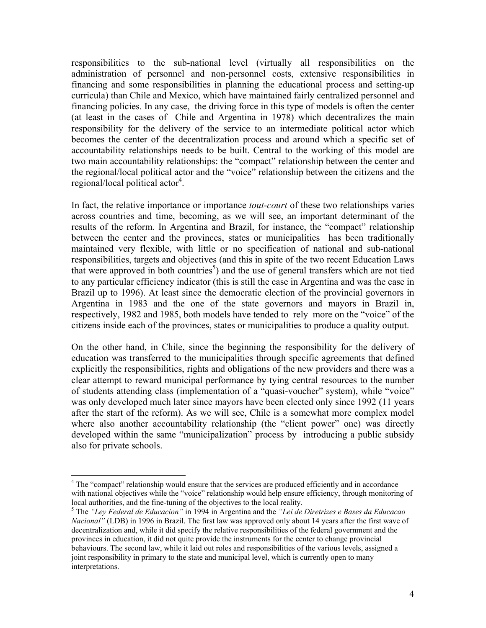responsibilities to the sub-national level (virtually all responsibilities on the administration of personnel and non-personnel costs, extensive responsibilities in financing and some responsibilities in planning the educational process and setting-up curricula) than Chile and Mexico, which have maintained fairly centralized personnel and financing policies. In any case, the driving force in this type of models is often the center (at least in the cases of Chile and Argentina in 1978) which decentralizes the main responsibility for the delivery of the service to an intermediate political actor which becomes the center of the decentralization process and around which a specific set of accountability relationships needs to be built. Central to the working of this model are two main accountability relationships: the "compact" relationship between the center and the regional/local political actor and the "voice" relationship between the citizens and the regional/local political actor<sup>4</sup>.

In fact, the relative importance or importance *tout-court* of these two relationships varies across countries and time, becoming, as we will see, an important determinant of the results of the reform. In Argentina and Brazil, for instance, the "compact" relationship between the center and the provinces, states or municipalities has been traditionally maintained very flexible, with little or no specification of national and sub-national responsibilities, targets and objectives (and this in spite of the two recent Education Laws that were approved in both countries<sup>5</sup>) and the use of general transfers which are not tied to any particular efficiency indicator (this is still the case in Argentina and was the case in Brazil up to 1996). At least since the democratic election of the provincial governors in Argentina in 1983 and the one of the state governors and mayors in Brazil in, respectively, 1982 and 1985, both models have tended to rely more on the "voice" of the citizens inside each of the provinces, states or municipalities to produce a quality output.

On the other hand, in Chile, since the beginning the responsibility for the delivery of education was transferred to the municipalities through specific agreements that defined explicitly the responsibilities, rights and obligations of the new providers and there was a clear attempt to reward municipal performance by tying central resources to the number of students attending class (implementation of a "quasi-voucher" system), while "voice" was only developed much later since mayors have been elected only since 1992 (11 years) after the start of the reform). As we will see, Chile is a somewhat more complex model where also another accountability relationship (the "client power" one) was directly developed within the same "municipalization" process by introducing a public subsidy also for private schools.

<sup>&</sup>lt;sup>4</sup> The "compact" relationship would ensure that the services are produced efficiently and in accordance with national objectives while the "voice" relationship would help ensure efficiency, through monitoring of local authorities, and the fine-tuning of the objectives to the local reality.

<sup>5</sup> The *"Ley Federal de Educacion"* in 1994 in Argentina and the *"Lei de Diretrizes e Bases da Educacao Nacional"* (LDB) in 1996 in Brazil. The first law was approved only about 14 years after the first wave of decentralization and, while it did specify the relative responsibilities of the federal government and the provinces in education, it did not quite provide the instruments for the center to change provincial behaviours. The second law, while it laid out roles and responsibilities of the various levels, assigned a joint responsibility in primary to the state and municipal level, which is currently open to many interpretations.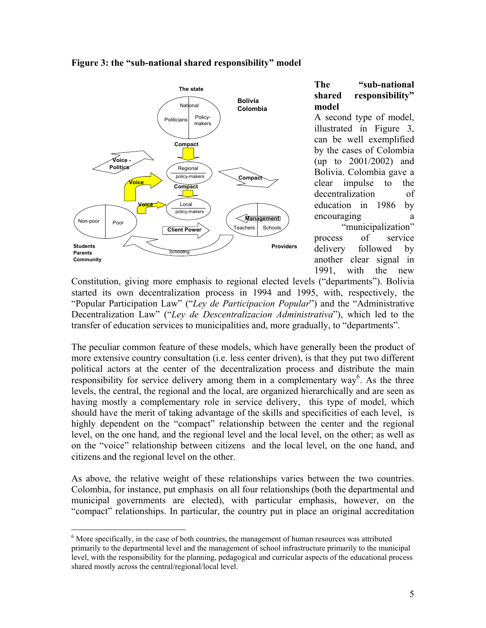### **Figure 3: the "sub-national shared responsibility" model**



### **The "sub-national shared responsibility" model**

A second type of model, illustrated in Figure 3, can be well exemplified by the cases of Colombia (up to 2001/2002) and Bolivia. Colombia gave a clear impulse to the decentralization of education in 1986 by encouraging a "municipalization" process of service delivery followed by another clear signal in 1991, with the new

Constitution, giving more emphasis to regional elected levels ("departments"). Bolivia started its own decentralization process in 1994 and 1995, with, respectively, the "Popular Participation Law" ("*Ley de Participacion Popular*") and the "Administrative Decentralization Law" ("*Ley de Descentralizacion Administrativa*"), which led to the transfer of education services to municipalities and, more gradually, to "departments".

The peculiar common feature of these models, which have generally been the product of more extensive country consultation (i.e. less center driven), is that they put two different political actors at the center of the decentralization process and distribute the main responsibility for service delivery among them in a complementary way<sup>6</sup>. As the three levels, the central, the regional and the local, are organized hierarchically and are seen as having mostly a complementary role in service delivery, this type of model, which should have the merit of taking advantage of the skills and specificities of each level, is highly dependent on the "compact" relationship between the center and the regional level, on the one hand, and the regional level and the local level, on the other; as well as on the "voice" relationship between citizens and the local level, on the one hand, and citizens and the regional level on the other.

As above, the relative weight of these relationships varies between the two countries. Colombia, for instance, put emphasis on all four relationships (both the departmental and municipal governments are elected), with particular emphasis, however, on the "compact" relationships. In particular, the country put in place an original accreditation

<u>.</u>

 $6$  More specifically, in the case of both countries, the management of human resources was attributed primarily to the departmental level and the management of school infrastructure primarily to the municipal level, with the responsibility for the planning, pedagogical and curricular aspects of the educational process shared mostly across the central/regional/local level.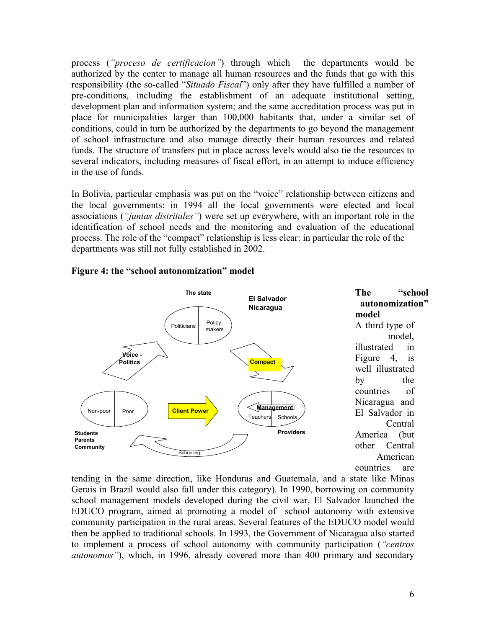process (*"proceso de certificacion"*) through which the departments would be authorized by the center to manage all human resources and the funds that go with this responsibility (the so-called "*Situado Fiscal*") only after they have fulfilled a number of pre-conditions, including the establishment of an adequate institutional setting, development plan and information system; and the same accreditation process was put in place for municipalities larger than 100,000 habitants that, under a similar set of conditions, could in turn be authorized by the departments to go beyond the management of school infrastructure and also manage directly their human resources and related funds. The structure of transfers put in place across levels would also tie the resources to several indicators, including measures of fiscal effort, in an attempt to induce efficiency in the use of funds.

In Bolivia, particular emphasis was put on the "voice" relationship between citizens and the local governments: in 1994 all the local governments were elected and local associations (*"juntas distritales"*) were set up everywhere, with an important role in the identification of school needs and the monitoring and evaluation of the educational process. The role of the "compact" relationship is less clear: in particular the role of the departments was still not fully established in 2002.

### **Figure 4: the "school autonomization" model**



tending in the same direction, like Honduras and Guatemala, and a state like Minas Gerais in Brazil would also fall under this category). In 1990, borrowing on community school management models developed during the civil war, El Salvador launched the EDUCO program, aimed at promoting a model of school autonomy with extensive community participation in the rural areas. Several features of the EDUCO model would then be applied to traditional schools. In 1993, the Government of Nicaragua also started to implement a process of school autonomy with community participation (*"centros autonomos"*), which, in 1996, already covered more than 400 primary and secondary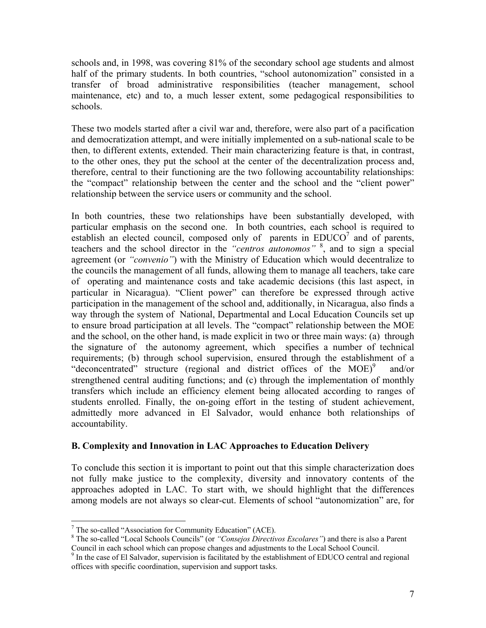schools and, in 1998, was covering 81% of the secondary school age students and almost half of the primary students. In both countries, "school autonomization" consisted in a transfer of broad administrative responsibilities (teacher management, school maintenance, etc) and to, a much lesser extent, some pedagogical responsibilities to schools.

These two models started after a civil war and, therefore, were also part of a pacification and democratization attempt, and were initially implemented on a sub-national scale to be then, to different extents, extended. Their main characterizing feature is that, in contrast, to the other ones, they put the school at the center of the decentralization process and, therefore, central to their functioning are the two following accountability relationships: the "compact" relationship between the center and the school and the "client power" relationship between the service users or community and the school.

In both countries, these two relationships have been substantially developed, with particular emphasis on the second one. In both countries, each school is required to establish an elected council, composed only of parents in  $EDUCO<sup>7</sup>$  and of parents, teachers and the school director in the *"centros autonomos"* <sup>8</sup> , and to sign a special agreement (or *"convenio"*) with the Ministry of Education which would decentralize to the councils the management of all funds, allowing them to manage all teachers, take care of operating and maintenance costs and take academic decisions (this last aspect, in particular in Nicaragua). "Client power" can therefore be expressed through active participation in the management of the school and, additionally, in Nicaragua, also finds a way through the system of National, Departmental and Local Education Councils set up to ensure broad participation at all levels. The "compact" relationship between the MOE and the school, on the other hand, is made explicit in two or three main ways: (a) through the signature of the autonomy agreement, which specifies a number of technical requirements; (b) through school supervision, ensured through the establishment of a "deconcentrated" structure (regional and district offices of the  $MOE$ )<sup>9</sup> and/or strengthened central auditing functions; and (c) through the implementation of monthly transfers which include an efficiency element being allocated according to ranges of students enrolled. Finally, the on-going effort in the testing of student achievement, admittedly more advanced in El Salvador, would enhance both relationships of accountability.

### **B. Complexity and Innovation in LAC Approaches to Education Delivery**

To conclude this section it is important to point out that this simple characterization does not fully make justice to the complexity, diversity and innovatory contents of the approaches adopted in LAC. To start with, we should highlight that the differences among models are not always so clear-cut. Elements of school "autonomization" are, for

<sup>&</sup>lt;sup>7</sup> The so-called "Association for Community Education" (ACE).

<sup>8</sup> The so-called "Local Schools Councils" (or *"Consejos Directivos Escolares"*) and there is also a Parent Council in each school which can propose changes and adjustments to the Local School Council.

<sup>&</sup>lt;sup>9</sup> In the case of El Salvador, supervision is facilitated by the establishment of EDUCO central and regional offices with specific coordination, supervision and support tasks.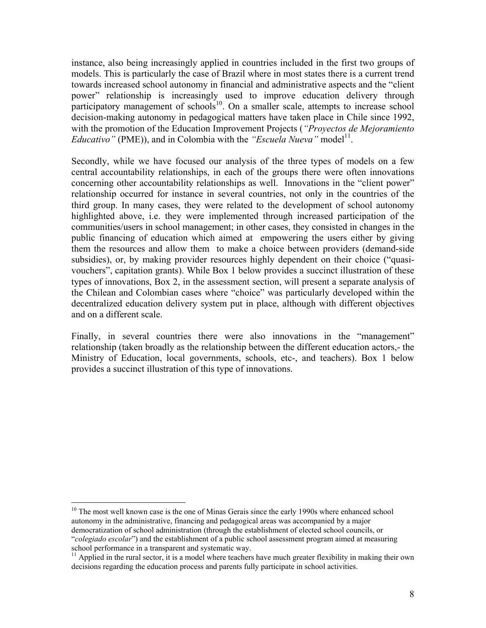instance, also being increasingly applied in countries included in the first two groups of models. This is particularly the case of Brazil where in most states there is a current trend towards increased school autonomy in financial and administrative aspects and the "client power" relationship is increasingly used to improve education delivery through participatory management of schools<sup>10</sup>. On a smaller scale, attempts to increase school decision-making autonomy in pedagogical matters have taken place in Chile since 1992, with the promotion of the Education Improvement Projects (*"Proyectos de Mejoramiento Educativo*" (PME)), and in Colombia with the "*Escuela Nueva*" model<sup>11</sup>.

Secondly, while we have focused our analysis of the three types of models on a few central accountability relationships, in each of the groups there were often innovations concerning other accountability relationships as well. Innovations in the "client power" relationship occurred for instance in several countries, not only in the countries of the third group. In many cases, they were related to the development of school autonomy highlighted above, i.e. they were implemented through increased participation of the communities/users in school management; in other cases, they consisted in changes in the public financing of education which aimed at empowering the users either by giving them the resources and allow them to make a choice between providers (demand-side subsidies), or, by making provider resources highly dependent on their choice ("quasivouchers", capitation grants). While Box 1 below provides a succinct illustration of these types of innovations, Box 2, in the assessment section, will present a separate analysis of the Chilean and Colombian cases where "choice" was particularly developed within the decentralized education delivery system put in place, although with different objectives and on a different scale.

Finally, in several countries there were also innovations in the "management" relationship (taken broadly as the relationship between the different education actors,- the Ministry of Education, local governments, schools, etc-, and teachers). Box 1 below provides a succinct illustration of this type of innovations.

 $10$  The most well known case is the one of Minas Gerais since the early 1990s where enhanced school autonomy in the administrative, financing and pedagogical areas was accompanied by a major democratization of school administration (through the establishment of elected school councils, or "*colegiado escolar*") and the establishment of a public school assessment program aimed at measuring school performance in a transparent and systematic way.

<sup>&</sup>lt;sup>11</sup> Applied in the rural sector, it is a model where teachers have much greater flexibility in making their own decisions regarding the education process and parents fully participate in school activities.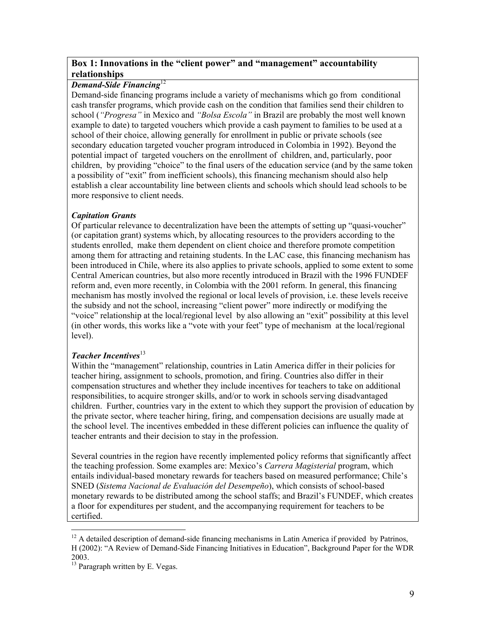### **Box 1: Innovations in the "client power" and "management" accountability relationships**

### *Demand-Side Financing*<sup>12</sup>

Demand-side financing programs include a variety of mechanisms which go from conditional cash transfer programs, which provide cash on the condition that families send their children to school (*"Progresa"* in Mexico and *"Bolsa Escola"* in Brazil are probably the most well known example to date) to targeted vouchers which provide a cash payment to families to be used at a school of their choice, allowing generally for enrollment in public or private schools (see secondary education targeted voucher program introduced in Colombia in 1992). Beyond the potential impact of targeted vouchers on the enrollment of children, and, particularly, poor children, by providing "choice" to the final users of the education service (and by the same token a possibility of "exit" from inefficient schools), this financing mechanism should also help establish a clear accountability line between clients and schools which should lead schools to be more responsive to client needs.

### *Capitation Grants*

Of particular relevance to decentralization have been the attempts of setting up "quasi-voucher" (or capitation grant) systems which, by allocating resources to the providers according to the students enrolled, make them dependent on client choice and therefore promote competition among them for attracting and retaining students. In the LAC case, this financing mechanism has been introduced in Chile, where its also applies to private schools, applied to some extent to some Central American countries, but also more recently introduced in Brazil with the 1996 FUNDEF reform and, even more recently, in Colombia with the 2001 reform. In general, this financing mechanism has mostly involved the regional or local levels of provision, i.e. these levels receive the subsidy and not the school, increasing "client power" more indirectly or modifying the "voice" relationship at the local/regional level by also allowing an "exit" possibility at this level (in other words, this works like a "vote with your feet" type of mechanism at the local/regional level).

### **Teacher Incentives**<sup>13</sup>

Within the "management" relationship, countries in Latin America differ in their policies for teacher hiring, assignment to schools, promotion, and firing. Countries also differ in their compensation structures and whether they include incentives for teachers to take on additional responsibilities, to acquire stronger skills, and/or to work in schools serving disadvantaged children. Further, countries vary in the extent to which they support the provision of education by the private sector, where teacher hiring, firing, and compensation decisions are usually made at the school level. The incentives embedded in these different policies can influence the quality of teacher entrants and their decision to stay in the profession.

Several countries in the region have recently implemented policy reforms that significantly affect the teaching profession. Some examples are: Mexico's *Carrera Magisterial* program, which entails individual-based monetary rewards for teachers based on measured performance; Chile's SNED (*Sistema Nacional de Evaluación del Desempeño*), which consists of school-based monetary rewards to be distributed among the school staffs; and Brazil's FUNDEF, which creates a floor for expenditures per student, and the accompanying requirement for teachers to be certified.

 $12$  A detailed description of demand-side financing mechanisms in Latin America if provided by Patrinos, H (2002): "A Review of Demand-Side Financing Initiatives in Education", Background Paper for the WDR 2003.

 $13$  Paragraph written by E. Vegas.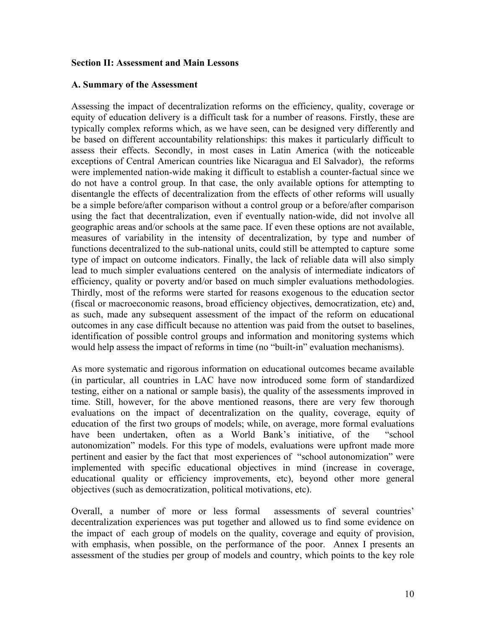### **Section II: Assessment and Main Lessons**

### **A. Summary of the Assessment**

Assessing the impact of decentralization reforms on the efficiency, quality, coverage or equity of education delivery is a difficult task for a number of reasons. Firstly, these are typically complex reforms which, as we have seen, can be designed very differently and be based on different accountability relationships: this makes it particularly difficult to assess their effects. Secondly, in most cases in Latin America (with the noticeable exceptions of Central American countries like Nicaragua and El Salvador), the reforms were implemented nation-wide making it difficult to establish a counter-factual since we do not have a control group. In that case, the only available options for attempting to disentangle the effects of decentralization from the effects of other reforms will usually be a simple before/after comparison without a control group or a before/after comparison using the fact that decentralization, even if eventually nation-wide, did not involve all geographic areas and/or schools at the same pace. If even these options are not available, measures of variability in the intensity of decentralization, by type and number of functions decentralized to the sub-national units, could still be attempted to capture some type of impact on outcome indicators. Finally, the lack of reliable data will also simply lead to much simpler evaluations centered on the analysis of intermediate indicators of efficiency, quality or poverty and/or based on much simpler evaluations methodologies. Thirdly, most of the reforms were started for reasons exogenous to the education sector (fiscal or macroeconomic reasons, broad efficiency objectives, democratization, etc) and, as such, made any subsequent assessment of the impact of the reform on educational outcomes in any case difficult because no attention was paid from the outset to baselines, identification of possible control groups and information and monitoring systems which would help assess the impact of reforms in time (no "built-in" evaluation mechanisms).

As more systematic and rigorous information on educational outcomes became available (in particular, all countries in LAC have now introduced some form of standardized testing, either on a national or sample basis), the quality of the assessments improved in time. Still, however, for the above mentioned reasons, there are very few thorough evaluations on the impact of decentralization on the quality, coverage, equity of education of the first two groups of models; while, on average, more formal evaluations have been undertaken, often as a World Bank's initiative, of the "school autonomization" models. For this type of models, evaluations were upfront made more pertinent and easier by the fact that most experiences of "school autonomization" were implemented with specific educational objectives in mind (increase in coverage, educational quality or efficiency improvements, etc), beyond other more general objectives (such as democratization, political motivations, etc).

Overall, a number of more or less formal assessments of several countries' decentralization experiences was put together and allowed us to find some evidence on the impact of each group of models on the quality, coverage and equity of provision, with emphasis, when possible, on the performance of the poor. Annex I presents an assessment of the studies per group of models and country, which points to the key role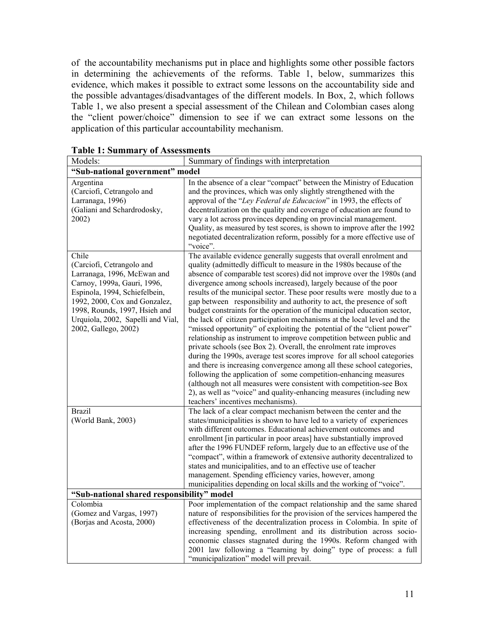of the accountability mechanisms put in place and highlights some other possible factors in determining the achievements of the reforms. Table 1, below, summarizes this evidence, which makes it possible to extract some lessons on the accountability side and the possible advantages/disadvantages of the different models. In Box, 2, which follows Table 1, we also present a special assessment of the Chilean and Colombian cases along the "client power/choice" dimension to see if we can extract some lessons on the application of this particular accountability mechanism.

| Models:                                                                                                                                                                                                                                                          | Summary of findings with interpretation                                                                                                                                                                                                                                                                                                                                                                                                                                                                                                                                                                                                                                                                                                                                                                                                                                                                                                                                                                                                                                                                                                                                                                                                   |  |
|------------------------------------------------------------------------------------------------------------------------------------------------------------------------------------------------------------------------------------------------------------------|-------------------------------------------------------------------------------------------------------------------------------------------------------------------------------------------------------------------------------------------------------------------------------------------------------------------------------------------------------------------------------------------------------------------------------------------------------------------------------------------------------------------------------------------------------------------------------------------------------------------------------------------------------------------------------------------------------------------------------------------------------------------------------------------------------------------------------------------------------------------------------------------------------------------------------------------------------------------------------------------------------------------------------------------------------------------------------------------------------------------------------------------------------------------------------------------------------------------------------------------|--|
| "Sub-national government" model                                                                                                                                                                                                                                  |                                                                                                                                                                                                                                                                                                                                                                                                                                                                                                                                                                                                                                                                                                                                                                                                                                                                                                                                                                                                                                                                                                                                                                                                                                           |  |
| Argentina<br>(Carciofi, Cetrangolo and<br>Larranaga, 1996)<br>(Galiani and Schardrodosky,<br>2002)                                                                                                                                                               | In the absence of a clear "compact" between the Ministry of Education<br>and the provinces, which was only slightly strengthened with the<br>approval of the "Ley Federal de Educacion" in 1993, the effects of<br>decentralization on the quality and coverage of education are found to<br>vary a lot across provinces depending on provincial management.<br>Quality, as measured by test scores, is shown to improve after the 1992<br>negotiated decentralization reform, possibly for a more effective use of<br>"voice".                                                                                                                                                                                                                                                                                                                                                                                                                                                                                                                                                                                                                                                                                                           |  |
| Chile<br>(Carciofi, Cetrangolo and<br>Larranaga, 1996, McEwan and<br>Carnoy, 1999a, Gauri, 1996,<br>Espinola, 1994, Schiefelbein,<br>1992, 2000, Cox and Gonzalez,<br>1998, Rounds, 1997, Hsieh and<br>Urquiola, 2002, Sapelli and Vial,<br>2002, Gallego, 2002) | The available evidence generally suggests that overall enrolment and<br>quality (admittedly difficult to measure in the 1980s because of the<br>absence of comparable test scores) did not improve over the 1980s (and<br>divergence among schools increased), largely because of the poor<br>results of the municipal sector. These poor results were mostly due to a<br>gap between responsibility and authority to act, the presence of soft<br>budget constraints for the operation of the municipal education sector,<br>the lack of citizen participation mechanisms at the local level and the<br>"missed opportunity" of exploiting the potential of the "client power"<br>relationship as instrument to improve competition between public and<br>private schools (see Box 2). Overall, the enrolment rate improves<br>during the 1990s, average test scores improve for all school categories<br>and there is increasing convergence among all these school categories,<br>following the application of some competition-enhancing measures<br>(although not all measures were consistent with competition-see Box<br>2), as well as "voice" and quality-enhancing measures (including new<br>teachers' incentives mechanisms). |  |
| <b>Brazil</b><br>(World Bank, 2003)                                                                                                                                                                                                                              | The lack of a clear compact mechanism between the center and the<br>states/municipalities is shown to have led to a variety of experiences<br>with different outcomes. Educational achievement outcomes and<br>enrollment [in particular in poor areas] have substantially improved<br>after the 1996 FUNDEF reform, largely due to an effective use of the<br>"compact", within a framework of extensive authority decentralized to<br>states and municipalities, and to an effective use of teacher<br>management. Spending efficiency varies, however, among<br>municipalities depending on local skills and the working of "voice".                                                                                                                                                                                                                                                                                                                                                                                                                                                                                                                                                                                                   |  |
| "Sub-national shared responsibility" model                                                                                                                                                                                                                       |                                                                                                                                                                                                                                                                                                                                                                                                                                                                                                                                                                                                                                                                                                                                                                                                                                                                                                                                                                                                                                                                                                                                                                                                                                           |  |
| Colombia<br>(Gomez and Vargas, 1997)<br>(Borjas and Acosta, 2000)                                                                                                                                                                                                | Poor implementation of the compact relationship and the same shared<br>nature of responsibilities for the provision of the services hampered the<br>effectiveness of the decentralization process in Colombia. In spite of<br>increasing spending, enrollment and its distribution across socio-<br>economic classes stagnated during the 1990s. Reform changed with<br>2001 law following a "learning by doing" type of process: a full<br>"municipalization" model will prevail.                                                                                                                                                                                                                                                                                                                                                                                                                                                                                                                                                                                                                                                                                                                                                        |  |

**Table 1: Summary of Assessments**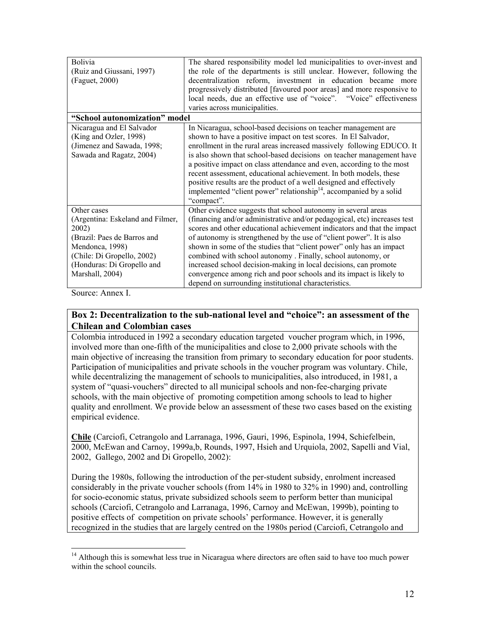| <b>Bolivia</b>                   | The shared responsibility model led municipalities to over-invest and          |  |
|----------------------------------|--------------------------------------------------------------------------------|--|
| (Ruiz and Giussani, 1997)        | the role of the departments is still unclear. However, following the           |  |
| (Faguet, 2000)                   | decentralization reform, investment in education became more                   |  |
|                                  | progressively distributed [favoured poor areas] and more responsive to         |  |
|                                  | local needs, due an effective use of "voice". "Voice" effectiveness            |  |
|                                  | varies across municipalities.                                                  |  |
| "School autonomization" model    |                                                                                |  |
| Nicaragua and El Salvador        | In Nicaragua, school-based decisions on teacher management are                 |  |
| (King and Ozler, 1998)           | shown to have a positive impact on test scores. In El Salvador,                |  |
| (Jimenez and Sawada, 1998;       | enrollment in the rural areas increased massively following EDUCO. It          |  |
| Sawada and Ragatz, 2004)         | is also shown that school-based decisions on teacher management have           |  |
|                                  | a positive impact on class attendance and even, according to the most          |  |
|                                  | recent assessment, educational achievement. In both models, these              |  |
|                                  | positive results are the product of a well designed and effectively            |  |
|                                  | implemented "client power" relationship <sup>14</sup> , accompanied by a solid |  |
|                                  |                                                                                |  |
|                                  | "compact".                                                                     |  |
| Other cases                      | Other evidence suggests that school autonomy in several areas                  |  |
| (Argentina: Eskeland and Filmer, | (financing and/or administrative and/or pedagogical, etc) increases test       |  |
| 2002)                            | scores and other educational achievement indicators and that the impact        |  |
| (Brazil: Paes de Barros and      | of autonomy is strengthened by the use of "client power". It is also           |  |
| Mendonca, 1998)                  | shown in some of the studies that "client power" only has an impact            |  |
| (Chile: Di Gropello, 2002)       | combined with school autonomy. Finally, school autonomy, or                    |  |
| (Honduras: Di Gropello and       | increased school decision-making in local decisions, can promote               |  |
| Marshall, 2004)                  | convergence among rich and poor schools and its impact is likely to            |  |
|                                  | depend on surrounding institutional characteristics.                           |  |

Source: Annex I.

 $\overline{a}$ 

### **Box 2: Decentralization to the sub-national level and "choice": an assessment of the Chilean and Colombian cases**

Colombia introduced in 1992 a secondary education targeted voucher program which, in 1996, involved more than one-fifth of the municipalities and close to 2,000 private schools with the main objective of increasing the transition from primary to secondary education for poor students. Participation of municipalities and private schools in the voucher program was voluntary. Chile, while decentralizing the management of schools to municipalities, also introduced, in 1981, a system of "quasi-vouchers" directed to all municipal schools and non-fee-charging private schools, with the main objective of promoting competition among schools to lead to higher quality and enrollment. We provide below an assessment of these two cases based on the existing empirical evidence.

**Chile** (Carciofi, Cetrangolo and Larranaga, 1996, Gauri, 1996, Espinola, 1994, Schiefelbein, 2000, McEwan and Carnoy, 1999a,b, Rounds, 1997, Hsieh and Urquiola, 2002, Sapelli and Vial, 2002, Gallego, 2002 and Di Gropello, 2002):

During the 1980s, following the introduction of the per-student subsidy, enrolment increased considerably in the private voucher schools (from 14% in 1980 to 32% in 1990) and, controlling for socio-economic status, private subsidized schools seem to perform better than municipal schools (Carciofi, Cetrangolo and Larranaga, 1996, Carnoy and McEwan, 1999b), pointing to positive effects of competition on private schools' performance. However, it is generally recognized in the studies that are largely centred on the 1980s period (Carciofi, Cetrangolo and

<sup>&</sup>lt;sup>14</sup> Although this is somewhat less true in Nicaragua where directors are often said to have too much power within the school councils.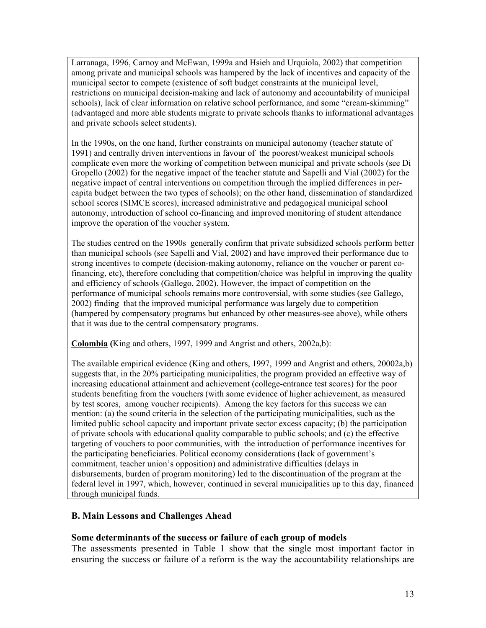Larranaga, 1996, Carnoy and McEwan, 1999a and Hsieh and Urquiola, 2002) that competition among private and municipal schools was hampered by the lack of incentives and capacity of the municipal sector to compete (existence of soft budget constraints at the municipal level, restrictions on municipal decision-making and lack of autonomy and accountability of municipal schools), lack of clear information on relative school performance, and some "cream-skimming" (advantaged and more able students migrate to private schools thanks to informational advantages and private schools select students).

In the 1990s, on the one hand, further constraints on municipal autonomy (teacher statute of 1991) and centrally driven interventions in favour of the poorest/weakest municipal schools complicate even more the working of competition between municipal and private schools (see Di Gropello (2002) for the negative impact of the teacher statute and Sapelli and Vial (2002) for the negative impact of central interventions on competition through the implied differences in percapita budget between the two types of schools); on the other hand, dissemination of standardized school scores (SIMCE scores), increased administrative and pedagogical municipal school autonomy, introduction of school co-financing and improved monitoring of student attendance improve the operation of the voucher system.

The studies centred on the 1990s generally confirm that private subsidized schools perform better than municipal schools (see Sapelli and Vial, 2002) and have improved their performance due to strong incentives to compete (decision-making autonomy, reliance on the voucher or parent cofinancing, etc), therefore concluding that competition/choice was helpful in improving the quality and efficiency of schools (Gallego, 2002). However, the impact of competition on the performance of municipal schools remains more controversial, with some studies (see Gallego, 2002) finding that the improved municipal performance was largely due to competition (hampered by compensatory programs but enhanced by other measures-see above), while others that it was due to the central compensatory programs.

**Colombia (**King and others, 1997, 1999 and Angrist and others, 2002a,b):

The available empirical evidence (King and others, 1997, 1999 and Angrist and others, 20002a,b) suggests that, in the 20% participating municipalities, the program provided an effective way of increasing educational attainment and achievement (college-entrance test scores) for the poor students benefiting from the vouchers (with some evidence of higher achievement, as measured by test scores, among voucher recipients). Among the key factors for this success we can mention: (a) the sound criteria in the selection of the participating municipalities, such as the limited public school capacity and important private sector excess capacity; (b) the participation of private schools with educational quality comparable to public schools; and (c) the effective targeting of vouchers to poor communities, with the introduction of performance incentives for the participating beneficiaries. Political economy considerations (lack of government's commitment, teacher union's opposition) and administrative difficulties (delays in disbursements, burden of program monitoring) led to the discontinuation of the program at the federal level in 1997, which, however, continued in several municipalities up to this day, financed through municipal funds.

### **B. Main Lessons and Challenges Ahead**

### **Some determinants of the success or failure of each group of models**

The assessments presented in Table 1 show that the single most important factor in ensuring the success or failure of a reform is the way the accountability relationships are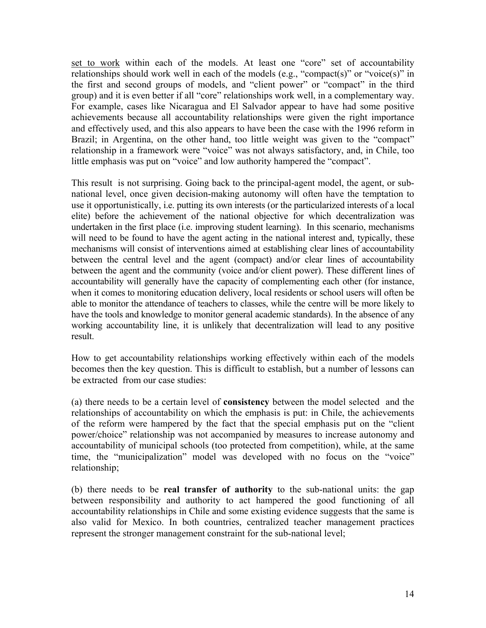set to work within each of the models. At least one "core" set of accountability relationships should work well in each of the models (e.g., "compact(s)" or "voice(s)" in the first and second groups of models, and "client power" or "compact" in the third group) and it is even better if all "core" relationships work well, in a complementary way. For example, cases like Nicaragua and El Salvador appear to have had some positive achievements because all accountability relationships were given the right importance and effectively used, and this also appears to have been the case with the 1996 reform in Brazil; in Argentina, on the other hand, too little weight was given to the "compact" relationship in a framework were "voice" was not always satisfactory, and, in Chile, too little emphasis was put on "voice" and low authority hampered the "compact".

This result is not surprising. Going back to the principal-agent model, the agent, or subnational level, once given decision-making autonomy will often have the temptation to use it opportunistically, i.e. putting its own interests (or the particularized interests of a local elite) before the achievement of the national objective for which decentralization was undertaken in the first place (i.e. improving student learning). In this scenario, mechanisms will need to be found to have the agent acting in the national interest and, typically, these mechanisms will consist of interventions aimed at establishing clear lines of accountability between the central level and the agent (compact) and/or clear lines of accountability between the agent and the community (voice and/or client power). These different lines of accountability will generally have the capacity of complementing each other (for instance, when it comes to monitoring education delivery, local residents or school users will often be able to monitor the attendance of teachers to classes, while the centre will be more likely to have the tools and knowledge to monitor general academic standards). In the absence of any working accountability line, it is unlikely that decentralization will lead to any positive result.

How to get accountability relationships working effectively within each of the models becomes then the key question. This is difficult to establish, but a number of lessons can be extracted from our case studies:

(a) there needs to be a certain level of **consistency** between the model selected and the relationships of accountability on which the emphasis is put: in Chile, the achievements of the reform were hampered by the fact that the special emphasis put on the "client power/choice" relationship was not accompanied by measures to increase autonomy and accountability of municipal schools (too protected from competition), while, at the same time, the "municipalization" model was developed with no focus on the "voice" relationship;

(b) there needs to be **real transfer of authority** to the sub-national units: the gap between responsibility and authority to act hampered the good functioning of all accountability relationships in Chile and some existing evidence suggests that the same is also valid for Mexico. In both countries, centralized teacher management practices represent the stronger management constraint for the sub-national level;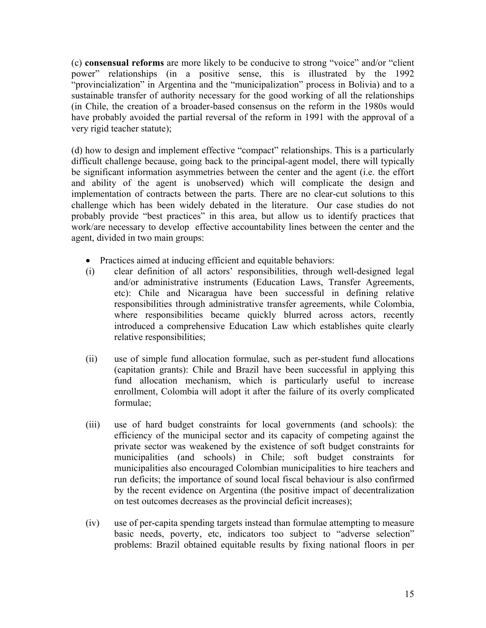(c) **consensual reforms** are more likely to be conducive to strong "voice" and/or "client power" relationships (in a positive sense, this is illustrated by the 1992 "provincialization" in Argentina and the "municipalization" process in Bolivia) and to a sustainable transfer of authority necessary for the good working of all the relationships (in Chile, the creation of a broader-based consensus on the reform in the 1980s would have probably avoided the partial reversal of the reform in 1991 with the approval of a very rigid teacher statute);

(d) how to design and implement effective "compact" relationships. This is a particularly difficult challenge because, going back to the principal-agent model, there will typically be significant information asymmetries between the center and the agent (i.e. the effort and ability of the agent is unobserved) which will complicate the design and implementation of contracts between the parts. There are no clear-cut solutions to this challenge which has been widely debated in the literature. Our case studies do not probably provide "best practices" in this area, but allow us to identify practices that work/are necessary to develop effective accountability lines between the center and the agent, divided in two main groups:

- Practices aimed at inducing efficient and equitable behaviors:
- (i) clear definition of all actors' responsibilities, through well-designed legal and/or administrative instruments (Education Laws, Transfer Agreements, etc): Chile and Nicaragua have been successful in defining relative responsibilities through administrative transfer agreements, while Colombia, where responsibilities became quickly blurred across actors, recently introduced a comprehensive Education Law which establishes quite clearly relative responsibilities;
- (ii) use of simple fund allocation formulae, such as per-student fund allocations (capitation grants): Chile and Brazil have been successful in applying this fund allocation mechanism, which is particularly useful to increase enrollment, Colombia will adopt it after the failure of its overly complicated formulae;
- (iii) use of hard budget constraints for local governments (and schools): the efficiency of the municipal sector and its capacity of competing against the private sector was weakened by the existence of soft budget constraints for municipalities (and schools) in Chile; soft budget constraints for municipalities also encouraged Colombian municipalities to hire teachers and run deficits; the importance of sound local fiscal behaviour is also confirmed by the recent evidence on Argentina (the positive impact of decentralization on test outcomes decreases as the provincial deficit increases);
- (iv) use of per-capita spending targets instead than formulae attempting to measure basic needs, poverty, etc, indicators too subject to "adverse selection" problems: Brazil obtained equitable results by fixing national floors in per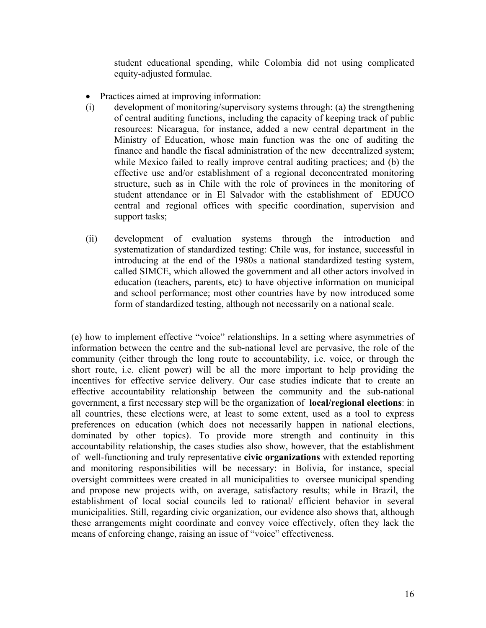student educational spending, while Colombia did not using complicated equity-adjusted formulae.

- Practices aimed at improving information:
- (i) development of monitoring/supervisory systems through: (a) the strengthening of central auditing functions, including the capacity of keeping track of public resources: Nicaragua, for instance, added a new central department in the Ministry of Education, whose main function was the one of auditing the finance and handle the fiscal administration of the new decentralized system; while Mexico failed to really improve central auditing practices; and (b) the effective use and/or establishment of a regional deconcentrated monitoring structure, such as in Chile with the role of provinces in the monitoring of student attendance or in El Salvador with the establishment of EDUCO central and regional offices with specific coordination, supervision and support tasks;
- (ii) development of evaluation systems through the introduction and systematization of standardized testing: Chile was, for instance, successful in introducing at the end of the 1980s a national standardized testing system, called SIMCE, which allowed the government and all other actors involved in education (teachers, parents, etc) to have objective information on municipal and school performance; most other countries have by now introduced some form of standardized testing, although not necessarily on a national scale.

(e) how to implement effective "voice" relationships. In a setting where asymmetries of information between the centre and the sub-national level are pervasive, the role of the community (either through the long route to accountability, i.e. voice, or through the short route, i.e. client power) will be all the more important to help providing the incentives for effective service delivery. Our case studies indicate that to create an effective accountability relationship between the community and the sub-national government, a first necessary step will be the organization of **local/regional elections**: in all countries, these elections were, at least to some extent, used as a tool to express preferences on education (which does not necessarily happen in national elections, dominated by other topics). To provide more strength and continuity in this accountability relationship, the cases studies also show, however, that the establishment of well-functioning and truly representative **civic organizations** with extended reporting and monitoring responsibilities will be necessary: in Bolivia, for instance, special oversight committees were created in all municipalities to oversee municipal spending and propose new projects with, on average, satisfactory results; while in Brazil, the establishment of local social councils led to rational/ efficient behavior in several municipalities. Still, regarding civic organization, our evidence also shows that, although these arrangements might coordinate and convey voice effectively, often they lack the means of enforcing change, raising an issue of "voice" effectiveness.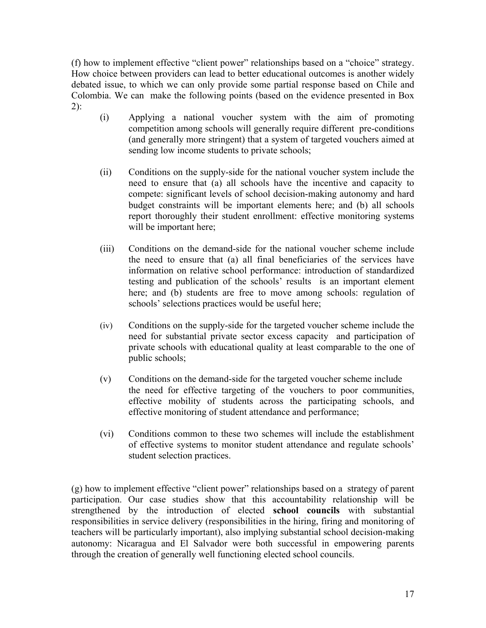(f) how to implement effective "client power" relationships based on a "choice" strategy. How choice between providers can lead to better educational outcomes is another widely debated issue, to which we can only provide some partial response based on Chile and Colombia. We can make the following points (based on the evidence presented in Box  $2)$ :

- (i) Applying a national voucher system with the aim of promoting competition among schools will generally require different pre-conditions (and generally more stringent) that a system of targeted vouchers aimed at sending low income students to private schools;
- (ii) Conditions on the supply-side for the national voucher system include the need to ensure that (a) all schools have the incentive and capacity to compete: significant levels of school decision-making autonomy and hard budget constraints will be important elements here; and (b) all schools report thoroughly their student enrollment: effective monitoring systems will be important here;
- (iii) Conditions on the demand-side for the national voucher scheme include the need to ensure that (a) all final beneficiaries of the services have information on relative school performance: introduction of standardized testing and publication of the schools' results is an important element here; and (b) students are free to move among schools: regulation of schools' selections practices would be useful here;
- (iv) Conditions on the supply-side for the targeted voucher scheme include the need for substantial private sector excess capacity and participation of private schools with educational quality at least comparable to the one of public schools;
- (v) Conditions on the demand-side for the targeted voucher scheme include the need for effective targeting of the vouchers to poor communities, effective mobility of students across the participating schools, and effective monitoring of student attendance and performance;
- (vi) Conditions common to these two schemes will include the establishment of effective systems to monitor student attendance and regulate schools' student selection practices.

(g) how to implement effective "client power" relationships based on a strategy of parent participation. Our case studies show that this accountability relationship will be strengthened by the introduction of elected **school councils** with substantial responsibilities in service delivery (responsibilities in the hiring, firing and monitoring of teachers will be particularly important), also implying substantial school decision-making autonomy: Nicaragua and El Salvador were both successful in empowering parents through the creation of generally well functioning elected school councils.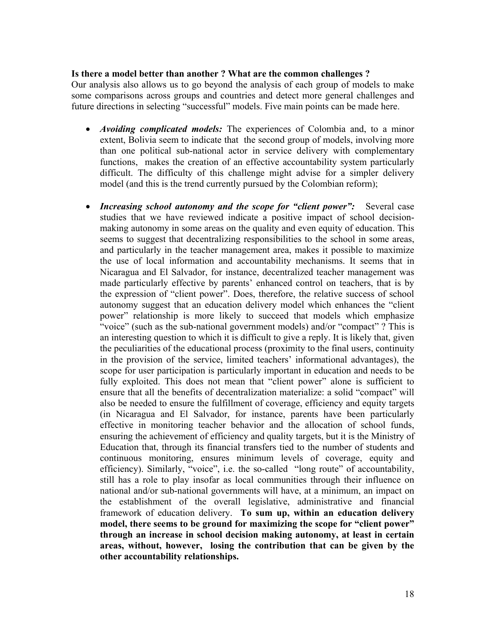### **Is there a model better than another ? What are the common challenges ?**

Our analysis also allows us to go beyond the analysis of each group of models to make some comparisons across groups and countries and detect more general challenges and future directions in selecting "successful" models. Five main points can be made here.

- *Avoiding complicated models:* The experiences of Colombia and, to a minor extent, Bolivia seem to indicate that the second group of models, involving more than one political sub-national actor in service delivery with complementary functions, makes the creation of an effective accountability system particularly difficult. The difficulty of this challenge might advise for a simpler delivery model (and this is the trend currently pursued by the Colombian reform);
- *Increasing school autonomy and the scope for "client power":* Several case studies that we have reviewed indicate a positive impact of school decisionmaking autonomy in some areas on the quality and even equity of education. This seems to suggest that decentralizing responsibilities to the school in some areas, and particularly in the teacher management area, makes it possible to maximize the use of local information and accountability mechanisms. It seems that in Nicaragua and El Salvador, for instance, decentralized teacher management was made particularly effective by parents' enhanced control on teachers, that is by the expression of "client power". Does, therefore, the relative success of school autonomy suggest that an education delivery model which enhances the "client power" relationship is more likely to succeed that models which emphasize "voice" (such as the sub-national government models) and/or "compact" ? This is an interesting question to which it is difficult to give a reply. It is likely that, given the peculiarities of the educational process (proximity to the final users, continuity in the provision of the service, limited teachers' informational advantages), the scope for user participation is particularly important in education and needs to be fully exploited. This does not mean that "client power" alone is sufficient to ensure that all the benefits of decentralization materialize: a solid "compact" will also be needed to ensure the fulfillment of coverage, efficiency and equity targets (in Nicaragua and El Salvador, for instance, parents have been particularly effective in monitoring teacher behavior and the allocation of school funds, ensuring the achievement of efficiency and quality targets, but it is the Ministry of Education that, through its financial transfers tied to the number of students and continuous monitoring, ensures minimum levels of coverage, equity and efficiency). Similarly, "voice", i.e. the so-called "long route" of accountability, still has a role to play insofar as local communities through their influence on national and/or sub-national governments will have, at a minimum, an impact on the establishment of the overall legislative, administrative and financial framework of education delivery. **To sum up, within an education delivery model, there seems to be ground for maximizing the scope for "client power" through an increase in school decision making autonomy, at least in certain areas, without, however, losing the contribution that can be given by the other accountability relationships.**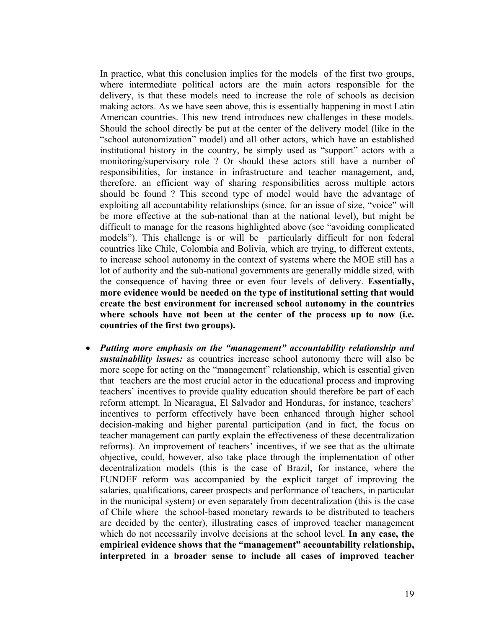In practice, what this conclusion implies for the models of the first two groups, where intermediate political actors are the main actors responsible for the delivery, is that these models need to increase the role of schools as decision making actors. As we have seen above, this is essentially happening in most Latin American countries. This new trend introduces new challenges in these models. Should the school directly be put at the center of the delivery model (like in the "school autonomization" model) and all other actors, which have an established institutional history in the country, be simply used as "support" actors with a monitoring/supervisory role ? Or should these actors still have a number of responsibilities, for instance in infrastructure and teacher management, and, therefore, an efficient way of sharing responsibilities across multiple actors should be found ? This second type of model would have the advantage of exploiting all accountability relationships (since, for an issue of size, "voice" will be more effective at the sub-national than at the national level), but might be difficult to manage for the reasons highlighted above (see "avoiding complicated models"). This challenge is or will be particularly difficult for non federal countries like Chile, Colombia and Bolivia, which are trying, to different extents, to increase school autonomy in the context of systems where the MOE still has a lot of authority and the sub-national governments are generally middle sized, with the consequence of having three or even four levels of delivery. **Essentially, more evidence would be needed on the type of institutional setting that would create the best environment for increased school autonomy in the countries where schools have not been at the center of the process up to now (i.e. countries of the first two groups).** 

• *Putting more emphasis on the "management" accountability relationship and sustainability issues:* as countries increase school autonomy there will also be more scope for acting on the "management" relationship, which is essential given that teachers are the most crucial actor in the educational process and improving teachers' incentives to provide quality education should therefore be part of each reform attempt. In Nicaragua, El Salvador and Honduras, for instance, teachers' incentives to perform effectively have been enhanced through higher school decision-making and higher parental participation (and in fact, the focus on teacher management can partly explain the effectiveness of these decentralization reforms). An improvement of teachers' incentives, if we see that as the ultimate objective, could, however, also take place through the implementation of other decentralization models (this is the case of Brazil, for instance, where the FUNDEF reform was accompanied by the explicit target of improving the salaries, qualifications, career prospects and performance of teachers, in particular in the municipal system) or even separately from decentralization (this is the case of Chile where the school-based monetary rewards to be distributed to teachers are decided by the center), illustrating cases of improved teacher management which do not necessarily involve decisions at the school level. **In any case, the empirical evidence shows that the "management" accountability relationship, interpreted in a broader sense to include all cases of improved teacher**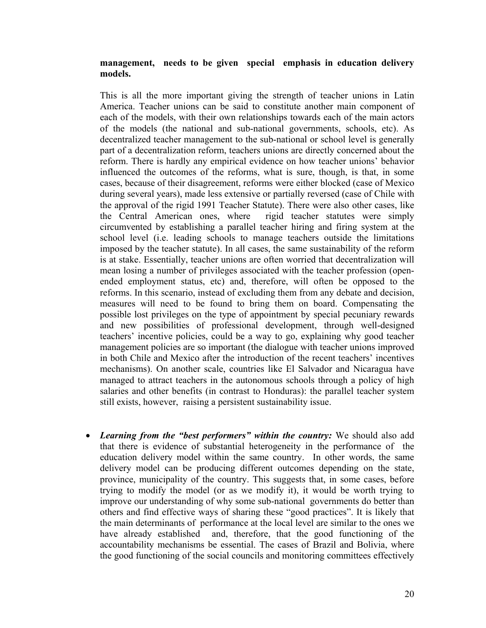### **management, needs to be given special emphasis in education delivery models.**

This is all the more important giving the strength of teacher unions in Latin America. Teacher unions can be said to constitute another main component of each of the models, with their own relationships towards each of the main actors of the models (the national and sub-national governments, schools, etc). As decentralized teacher management to the sub-national or school level is generally part of a decentralization reform, teachers unions are directly concerned about the reform. There is hardly any empirical evidence on how teacher unions' behavior influenced the outcomes of the reforms, what is sure, though, is that, in some cases, because of their disagreement, reforms were either blocked (case of Mexico during several years), made less extensive or partially reversed (case of Chile with the approval of the rigid 1991 Teacher Statute). There were also other cases, like the Central American ones, where rigid teacher statutes were simply circumvented by establishing a parallel teacher hiring and firing system at the school level (i.e. leading schools to manage teachers outside the limitations imposed by the teacher statute). In all cases, the same sustainability of the reform is at stake. Essentially, teacher unions are often worried that decentralization will mean losing a number of privileges associated with the teacher profession (openended employment status, etc) and, therefore, will often be opposed to the reforms. In this scenario, instead of excluding them from any debate and decision, measures will need to be found to bring them on board. Compensating the possible lost privileges on the type of appointment by special pecuniary rewards and new possibilities of professional development, through well-designed teachers' incentive policies, could be a way to go, explaining why good teacher management policies are so important (the dialogue with teacher unions improved in both Chile and Mexico after the introduction of the recent teachers' incentives mechanisms). On another scale, countries like El Salvador and Nicaragua have managed to attract teachers in the autonomous schools through a policy of high salaries and other benefits (in contrast to Honduras): the parallel teacher system still exists, however, raising a persistent sustainability issue.

• *Learning from the "best performers" within the country:* We should also add that there is evidence of substantial heterogeneity in the performance of the education delivery model within the same country. In other words, the same delivery model can be producing different outcomes depending on the state, province, municipality of the country. This suggests that, in some cases, before trying to modify the model (or as we modify it), it would be worth trying to improve our understanding of why some sub-national governments do better than others and find effective ways of sharing these "good practices". It is likely that the main determinants of performance at the local level are similar to the ones we have already established and, therefore, that the good functioning of the accountability mechanisms be essential. The cases of Brazil and Bolivia, where the good functioning of the social councils and monitoring committees effectively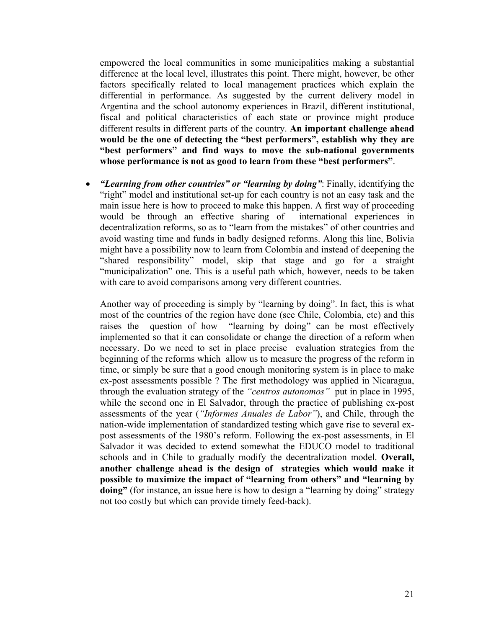empowered the local communities in some municipalities making a substantial difference at the local level, illustrates this point. There might, however, be other factors specifically related to local management practices which explain the differential in performance. As suggested by the current delivery model in Argentina and the school autonomy experiences in Brazil, different institutional, fiscal and political characteristics of each state or province might produce different results in different parts of the country. **An important challenge ahead would be the one of detecting the "best performers", establish why they are "best performers" and find ways to move the sub-national governments whose performance is not as good to learn from these "best performers"**.

• *"Learning from other countries" or "learning by doing"*: Finally, identifying the "right" model and institutional set-up for each country is not an easy task and the main issue here is how to proceed to make this happen. A first way of proceeding would be through an effective sharing of international experiences in decentralization reforms, so as to "learn from the mistakes" of other countries and avoid wasting time and funds in badly designed reforms. Along this line, Bolivia might have a possibility now to learn from Colombia and instead of deepening the "shared responsibility" model, skip that stage and go for a straight "municipalization" one. This is a useful path which, however, needs to be taken with care to avoid comparisons among very different countries.

Another way of proceeding is simply by "learning by doing". In fact, this is what most of the countries of the region have done (see Chile, Colombia, etc) and this raises the question of how "learning by doing" can be most effectively implemented so that it can consolidate or change the direction of a reform when necessary. Do we need to set in place precise evaluation strategies from the beginning of the reforms which allow us to measure the progress of the reform in time, or simply be sure that a good enough monitoring system is in place to make ex-post assessments possible ? The first methodology was applied in Nicaragua, through the evaluation strategy of the *"centros autonomos"* put in place in 1995, while the second one in El Salvador, through the practice of publishing ex-post assessments of the year (*"Informes Anuales de Labor"*), and Chile, through the nation-wide implementation of standardized testing which gave rise to several expost assessments of the 1980's reform. Following the ex-post assessments, in El Salvador it was decided to extend somewhat the EDUCO model to traditional schools and in Chile to gradually modify the decentralization model. **Overall, another challenge ahead is the design of strategies which would make it possible to maximize the impact of "learning from others" and "learning by doing**" (for instance, an issue here is how to design a "learning by doing" strategy not too costly but which can provide timely feed-back).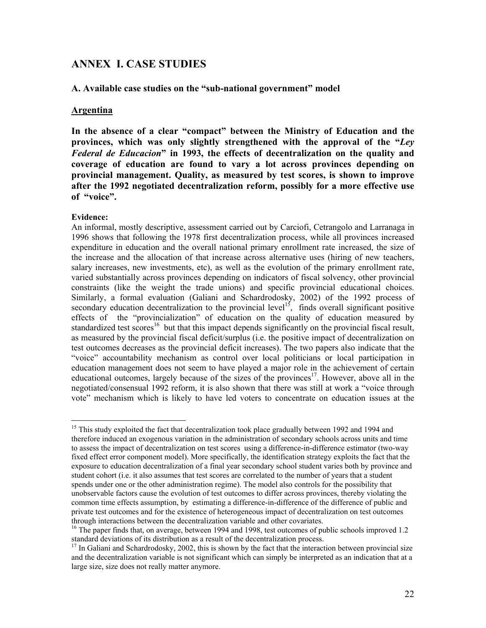### **ANNEX I. CASE STUDIES**

#### **A. Available case studies on the "sub-national government" model**

#### **Argentina**

**In the absence of a clear "compact" between the Ministry of Education and the provinces, which was only slightly strengthened with the approval of the "***Ley Federal de Educacion***" in 1993, the effects of decentralization on the quality and coverage of education are found to vary a lot across provinces depending on provincial management. Quality, as measured by test scores, is shown to improve after the 1992 negotiated decentralization reform, possibly for a more effective use of "voice".** 

#### **Evidence:**

 $\overline{a}$ 

An informal, mostly descriptive, assessment carried out by Carciofi, Cetrangolo and Larranaga in 1996 shows that following the 1978 first decentralization process, while all provinces increased expenditure in education and the overall national primary enrollment rate increased, the size of the increase and the allocation of that increase across alternative uses (hiring of new teachers, salary increases, new investments, etc), as well as the evolution of the primary enrollment rate, varied substantially across provinces depending on indicators of fiscal solvency, other provincial constraints (like the weight the trade unions) and specific provincial educational choices. Similarly, a formal evaluation (Galiani and Schardrodosky, 2002) of the 1992 process of secondary education decentralization to the provincial level<sup>15</sup>, finds overall significant positive effects of the "provincialization" of education on the quality of education measured by standardized test scores<sup>16</sup> but that this impact depends significantly on the provincial fiscal result, as measured by the provincial fiscal deficit/surplus (i.e. the positive impact of decentralization on test outcomes decreases as the provincial deficit increases). The two papers also indicate that the "voice" accountability mechanism as control over local politicians or local participation in education management does not seem to have played a major role in the achievement of certain educational outcomes, largely because of the sizes of the provinces<sup>17</sup>. However, above all in the negotiated/consensual 1992 reform, it is also shown that there was still at work a "voice through vote" mechanism which is likely to have led voters to concentrate on education issues at the

<sup>&</sup>lt;sup>15</sup> This study exploited the fact that decentralization took place gradually between 1992 and 1994 and therefore induced an exogenous variation in the administration of secondary schools across units and time to assess the impact of decentralization on test scores using a difference-in-difference estimator (two-way fixed effect error component model). More specifically, the identification strategy exploits the fact that the exposure to education decentralization of a final year secondary school student varies both by province and student cohort (i.e. it also assumes that test scores are correlated to the number of years that a student spends under one or the other administration regime). The model also controls for the possibility that unobservable factors cause the evolution of test outcomes to differ across provinces, thereby violating the common time effects assumption, by estimating a difference-in-difference of the difference of public and private test outcomes and for the existence of heterogeneous impact of decentralization on test outcomes through interactions between the decentralization variable and other covariates.<br><sup>16</sup> The paper finds that, on average, between 1994 and 1998, test outcomes of public schools improved 1.2

standard deviations of its distribution as a result of the decentralization process.

<sup>&</sup>lt;sup>17</sup> In Galiani and Schardrodosky, 2002, this is shown by the fact that the interaction between provincial size and the decentralization variable is not significant which can simply be interpreted as an indication that at a large size, size does not really matter anymore.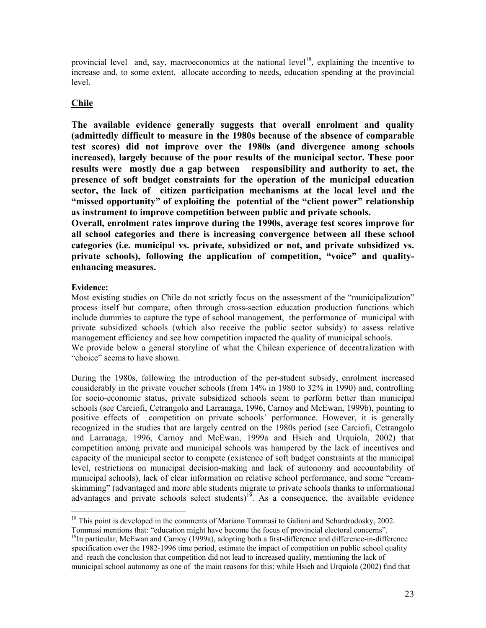provincial level and, say, macroeconomics at the national level<sup>18</sup>, explaining the incentive to increase and, to some extent, allocate according to needs, education spending at the provincial level.

### **Chile**

**The available evidence generally suggests that overall enrolment and quality (admittedly difficult to measure in the 1980s because of the absence of comparable test scores) did not improve over the 1980s (and divergence among schools increased), largely because of the poor results of the municipal sector. These poor results were mostly due a gap between responsibility and authority to act, the presence of soft budget constraints for the operation of the municipal education sector, the lack of citizen participation mechanisms at the local level and the "missed opportunity" of exploiting the potential of the "client power" relationship as instrument to improve competition between public and private schools.** 

**Overall, enrolment rates improve during the 1990s, average test scores improve for all school categories and there is increasing convergence between all these school categories (i.e. municipal vs. private, subsidized or not, and private subsidized vs. private schools), following the application of competition, "voice" and qualityenhancing measures.** 

### **Evidence:**

Most existing studies on Chile do not strictly focus on the assessment of the "municipalization" process itself but compare, often through cross-section education production functions which include dummies to capture the type of school management, the performance of municipal with private subsidized schools (which also receive the public sector subsidy) to assess relative management efficiency and see how competition impacted the quality of municipal schools. We provide below a general storyline of what the Chilean experience of decentralization with "choice" seems to have shown.

During the 1980s, following the introduction of the per-student subsidy, enrolment increased considerably in the private voucher schools (from 14% in 1980 to 32% in 1990) and, controlling for socio-economic status, private subsidized schools seem to perform better than municipal schools (see Carciofi, Cetrangolo and Larranaga, 1996, Carnoy and McEwan, 1999b), pointing to positive effects of competition on private schools' performance. However, it is generally recognized in the studies that are largely centred on the 1980s period (see Carciofi, Cetrangolo and Larranaga, 1996, Carnoy and McEwan, 1999a and Hsieh and Urquiola, 2002) that competition among private and municipal schools was hampered by the lack of incentives and capacity of the municipal sector to compete (existence of soft budget constraints at the municipal level, restrictions on municipal decision-making and lack of autonomy and accountability of municipal schools), lack of clear information on relative school performance, and some "creamskimming" (advantaged and more able students migrate to private schools thanks to informational advantages and private schools select students)<sup>19</sup>. As a consequence, the available evidence

 $\overline{a}$ <sup>18</sup> This point is developed in the comments of Mariano Tommasi to Galiani and Schardrodosky, 2002.

Tommasi mentions that: "education might have become the focus of provincial electoral concerns".<br><sup>19</sup>In particular, McEwan and Carnoy (1999a), adopting both a first-difference and difference-in-difference specification over the 1982-1996 time period, estimate the impact of competition on public school quality and reach the conclusion that competition did not lead to increased quality, mentioning the lack of municipal school autonomy as one of the main reasons for this; while Hsieh and Urquiola (2002) find that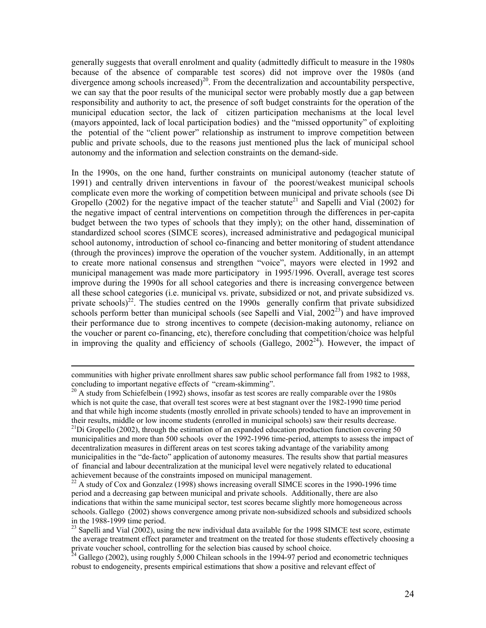generally suggests that overall enrolment and quality (admittedly difficult to measure in the 1980s because of the absence of comparable test scores) did not improve over the 1980s (and divergence among schools increased)<sup>20</sup>. From the decentralization and accountability perspective, we can say that the poor results of the municipal sector were probably mostly due a gap between responsibility and authority to act, the presence of soft budget constraints for the operation of the municipal education sector, the lack of citizen participation mechanisms at the local level (mayors appointed, lack of local participation bodies) and the "missed opportunity" of exploiting the potential of the "client power" relationship as instrument to improve competition between public and private schools, due to the reasons just mentioned plus the lack of municipal school autonomy and the information and selection constraints on the demand-side.

In the 1990s, on the one hand, further constraints on municipal autonomy (teacher statute of 1991) and centrally driven interventions in favour of the poorest/weakest municipal schools complicate even more the working of competition between municipal and private schools (see Di Gropello (2002) for the negative impact of the teacher statute<sup>21</sup> and Sapelli and Vial (2002) for the negative impact of central interventions on competition through the differences in per-capita budget between the two types of schools that they imply); on the other hand, dissemination of standardized school scores (SIMCE scores), increased administrative and pedagogical municipal school autonomy, introduction of school co-financing and better monitoring of student attendance (through the provinces) improve the operation of the voucher system. Additionally, in an attempt to create more national consensus and strengthen "voice", mayors were elected in 1992 and municipal management was made more participatory in 1995/1996. Overall, average test scores improve during the 1990s for all school categories and there is increasing convergence between all these school categories (i.e. municipal vs. private, subsidized or not, and private subsidized vs. private schools)<sup>22</sup>. The studies centred on the 1990s generally confirm that private subsidized schools perform better than municipal schools (see Sapelli and Vial,  $2002<sup>23</sup>$ ) and have improved their performance due to strong incentives to compete (decision-making autonomy, reliance on the voucher or parent co-financing, etc), therefore concluding that competition/choice was helpful in improving the quality and efficiency of schools (Gallego,  $2002<sup>24</sup>$ ). However, the impact of

communities with higher private enrollment shares saw public school performance fall from 1982 to 1988, concluding to important negative effects of "cream-skimming".

 $^{20}$  A study from Schiefelbein (1992) shows, insofar as test scores are really comparable over the 1980s which is not quite the case, that overall test scores were at best stagnant over the 1982-1990 time period and that while high income students (mostly enrolled in private schools) tended to have an improvement in their results, middle or low income students (enrolled in municipal schools) saw their results decrease.<br><sup>21</sup>Di Gropello (2002), through the estimation of an expanded education production function covering 50 municipalities and more than 500 schools over the 1992-1996 time-period, attempts to assess the impact of decentralization measures in different areas on test scores taking advantage of the variability among municipalities in the "de-facto" application of autonomy measures. The results show that partial measures of financial and labour decentralization at the municipal level were negatively related to educational achievement because of the constraints imposed on municipal management.<br><sup>22</sup> A study of Cox and Gonzalez (1998) shows increasing overall SIMCE scores in the 1990-1996 time

period and a decreasing gap between municipal and private schools. Additionally, there are also indications that within the same municipal sector, test scores became slightly more homogeneous across schools. Gallego (2002) shows convergence among private non-subsidized schools and subsidized schools in the 1988-1999 time period.

 $^{23}$  Sapelli and Vial (2002), using the new individual data available for the 1998 SIMCE test score, estimate the average treatment effect parameter and treatment on the treated for those students effectively choosing a private voucher school, controlling for the selection bias caused by school choice.

 $^{24}$  Gallego (2002), using roughly 5,000 Chilean schools in the 1994-97 period and econometric techniques robust to endogeneity, presents empirical estimations that show a positive and relevant effect of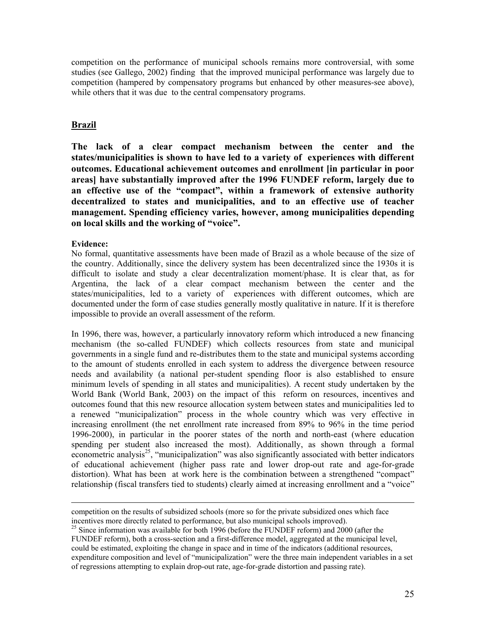competition on the performance of municipal schools remains more controversial, with some studies (see Gallego, 2002) finding that the improved municipal performance was largely due to competition (hampered by compensatory programs but enhanced by other measures-see above), while others that it was due to the central compensatory programs.

### **Brazil**

**The lack of a clear compact mechanism between the center and the states/municipalities is shown to have led to a variety of experiences with different outcomes. Educational achievement outcomes and enrollment [in particular in poor areas] have substantially improved after the 1996 FUNDEF reform, largely due to an effective use of the "compact", within a framework of extensive authority decentralized to states and municipalities, and to an effective use of teacher management. Spending efficiency varies, however, among municipalities depending on local skills and the working of "voice".** 

### **Evidence:**

No formal, quantitative assessments have been made of Brazil as a whole because of the size of the country. Additionally, since the delivery system has been decentralized since the 1930s it is difficult to isolate and study a clear decentralization moment/phase. It is clear that, as for Argentina, the lack of a clear compact mechanism between the center and the states/municipalities, led to a variety of experiences with different outcomes, which are documented under the form of case studies generally mostly qualitative in nature. If it is therefore impossible to provide an overall assessment of the reform.

In 1996, there was, however, a particularly innovatory reform which introduced a new financing mechanism (the so-called FUNDEF) which collects resources from state and municipal governments in a single fund and re-distributes them to the state and municipal systems according to the amount of students enrolled in each system to address the divergence between resource needs and availability (a national per-student spending floor is also established to ensure minimum levels of spending in all states and municipalities). A recent study undertaken by the World Bank (World Bank, 2003) on the impact of this reform on resources, incentives and outcomes found that this new resource allocation system between states and municipalities led to a renewed "municipalization" process in the whole country which was very effective in increasing enrollment (the net enrollment rate increased from 89% to 96% in the time period 1996-2000), in particular in the poorer states of the north and north-east (where education spending per student also increased the most). Additionally, as shown through a formal econometric analysis<sup>25</sup>, "municipalization" was also significantly associated with better indicators of educational achievement (higher pass rate and lower drop-out rate and age-for-grade distortion). What has been at work here is the combination between a strengthened "compact" relationship (fiscal transfers tied to students) clearly aimed at increasing enrollment and a "voice"

competition on the results of subsidized schools (more so for the private subsidized ones which face incentives more directly related to performance, but also municipal schools improved).

<sup>&</sup>lt;sup>25</sup> Since information was available for both 1996 (before the FUNDEF reform) and 2000 (after the FUNDEF reform), both a cross-section and a first-difference model, aggregated at the municipal level, could be estimated, exploiting the change in space and in time of the indicators (additional resources, expenditure composition and level of "municipalization" were the three main independent variables in a set of regressions attempting to explain drop-out rate, age-for-grade distortion and passing rate).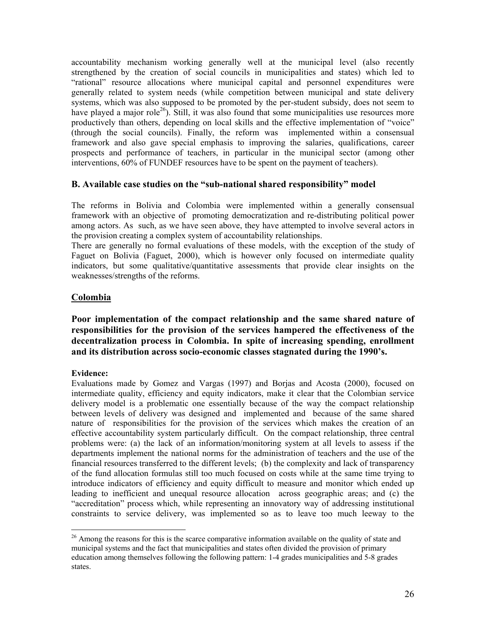accountability mechanism working generally well at the municipal level (also recently strengthened by the creation of social councils in municipalities and states) which led to "rational" resource allocations where municipal capital and personnel expenditures were generally related to system needs (while competition between municipal and state delivery systems, which was also supposed to be promoted by the per-student subsidy, does not seem to have played a major role<sup>26</sup>). Still, it was also found that some municipalities use resources more productively than others, depending on local skills and the effective implementation of "voice" (through the social councils). Finally, the reform was implemented within a consensual framework and also gave special emphasis to improving the salaries, qualifications, career prospects and performance of teachers, in particular in the municipal sector (among other interventions, 60% of FUNDEF resources have to be spent on the payment of teachers).

### **B. Available case studies on the "sub-national shared responsibility" model**

The reforms in Bolivia and Colombia were implemented within a generally consensual framework with an objective of promoting democratization and re-distributing political power among actors. As such, as we have seen above, they have attempted to involve several actors in the provision creating a complex system of accountability relationships.

There are generally no formal evaluations of these models, with the exception of the study of Faguet on Bolivia (Faguet, 2000), which is however only focused on intermediate quality indicators, but some qualitative/quantitative assessments that provide clear insights on the weaknesses/strengths of the reforms.

### **Colombia**

**Poor implementation of the compact relationship and the same shared nature of responsibilities for the provision of the services hampered the effectiveness of the decentralization process in Colombia. In spite of increasing spending, enrollment and its distribution across socio-economic classes stagnated during the 1990's.** 

### **Evidence:**

 $\overline{a}$ 

Evaluations made by Gomez and Vargas (1997) and Borjas and Acosta (2000), focused on intermediate quality, efficiency and equity indicators, make it clear that the Colombian service delivery model is a problematic one essentially because of the way the compact relationship between levels of delivery was designed and implemented and because of the same shared nature of responsibilities for the provision of the services which makes the creation of an effective accountability system particularly difficult. On the compact relationship, three central problems were: (a) the lack of an information/monitoring system at all levels to assess if the departments implement the national norms for the administration of teachers and the use of the financial resources transferred to the different levels; (b) the complexity and lack of transparency of the fund allocation formulas still too much focused on costs while at the same time trying to introduce indicators of efficiency and equity difficult to measure and monitor which ended up leading to inefficient and unequal resource allocation across geographic areas; and (c) the "accreditation" process which, while representing an innovatory way of addressing institutional constraints to service delivery, was implemented so as to leave too much leeway to the

 $26$  Among the reasons for this is the scarce comparative information available on the quality of state and municipal systems and the fact that municipalities and states often divided the provision of primary education among themselves following the following pattern: 1-4 grades municipalities and 5-8 grades states.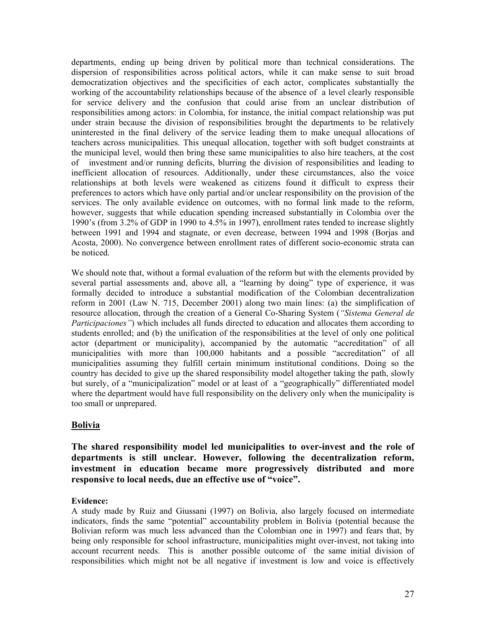departments, ending up being driven by political more than technical considerations. The dispersion of responsibilities across political actors, while it can make sense to suit broad democratization objectives and the specificities of each actor, complicates substantially the working of the accountability relationships because of the absence of a level clearly responsible for service delivery and the confusion that could arise from an unclear distribution of responsibilities among actors: in Colombia, for instance, the initial compact relationship was put under strain because the division of responsibilities brought the departments to be relatively uninterested in the final delivery of the service leading them to make unequal allocations of teachers across municipalities. This unequal allocation, together with soft budget constraints at the municipal level, would then bring these same municipalities to also hire teachers, at the cost of investment and/or running deficits, blurring the division of responsibilities and leading to inefficient allocation of resources. Additionally, under these circumstances, also the voice relationships at both levels were weakened as citizens found it difficult to express their preferences to actors which have only partial and/or unclear responsibility on the provision of the services. The only available evidence on outcomes, with no formal link made to the reform, however, suggests that while education spending increased substantially in Colombia over the 1990's (from 3.2% of GDP in 1990 to 4.5% in 1997), enrollment rates tended to increase slightly between 1991 and 1994 and stagnate, or even decrease, between 1994 and 1998 (Borjas and Acosta, 2000). No convergence between enrollment rates of different socio-economic strata can be noticed.

We should note that, without a formal evaluation of the reform but with the elements provided by several partial assessments and, above all, a "learning by doing" type of experience, it was formally decided to introduce a substantial modification of the Colombian decentralization reform in 2001 (Law N. 715, December 2001) along two main lines: (a) the simplification of resource allocation, through the creation of a General Co-Sharing System (*"Sistema General de Participaciones"*) which includes all funds directed to education and allocates them according to students enrolled; and (b) the unification of the responsibilities at the level of only one political actor (department or municipality), accompanied by the automatic "accreditation" of all municipalities with more than 100,000 habitants and a possible "accreditation" of all municipalities assuming they fulfill certain minimum institutional conditions. Doing so the country has decided to give up the shared responsibility model altogether taking the path, slowly but surely, of a "municipalization" model or at least of a "geographically" differentiated model where the department would have full responsibility on the delivery only when the municipality is too small or unprepared.

### **Bolivia**

**The shared responsibility model led municipalities to over-invest and the role of departments is still unclear. However, following the decentralization reform, investment in education became more progressively distributed and more responsive to local needs, due an effective use of "voice".** 

#### **Evidence:**

A study made by Ruiz and Giussani (1997) on Bolivia, also largely focused on intermediate indicators, finds the same "potential" accountability problem in Bolivia (potential because the Bolivian reform was much less advanced than the Colombian one in 1997) and fears that, by being only responsible for school infrastructure, municipalities might over-invest, not taking into account recurrent needs. This is another possible outcome of the same initial division of responsibilities which might not be all negative if investment is low and voice is effectively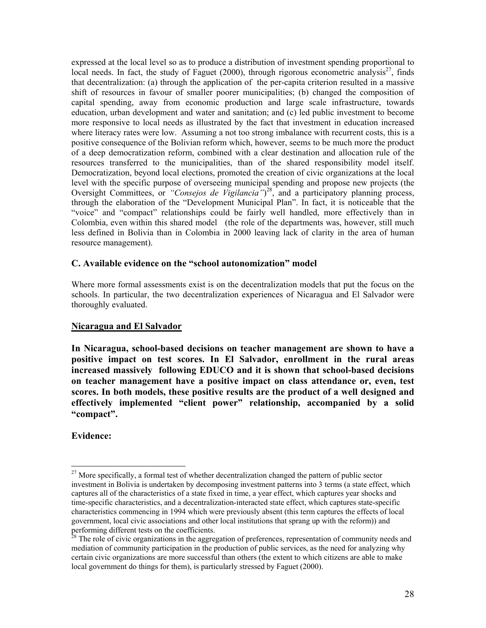expressed at the local level so as to produce a distribution of investment spending proportional to local needs. In fact, the study of Faguet (2000), through rigorous econometric analysis<sup>27</sup>, finds that decentralization: (a) through the application of the per-capita criterion resulted in a massive shift of resources in favour of smaller poorer municipalities; (b) changed the composition of capital spending, away from economic production and large scale infrastructure, towards education, urban development and water and sanitation; and (c) led public investment to become more responsive to local needs as illustrated by the fact that investment in education increased where literacy rates were low. Assuming a not too strong imbalance with recurrent costs, this is a positive consequence of the Bolivian reform which, however, seems to be much more the product of a deep democratization reform, combined with a clear destination and allocation rule of the resources transferred to the municipalities, than of the shared responsibility model itself. Democratization, beyond local elections, promoted the creation of civic organizations at the local level with the specific purpose of overseeing municipal spending and propose new projects (the Oversight Committees, or "Consejos de Vigilancia<sup>"</sup>)<sup>28</sup>, and a participatory planning process, through the elaboration of the "Development Municipal Plan". In fact, it is noticeable that the "voice" and "compact" relationships could be fairly well handled, more effectively than in Colombia, even within this shared model (the role of the departments was, however, still much less defined in Bolivia than in Colombia in 2000 leaving lack of clarity in the area of human resource management).

### **C. Available evidence on the "school autonomization" model**

Where more formal assessments exist is on the decentralization models that put the focus on the schools. In particular, the two decentralization experiences of Nicaragua and El Salvador were thoroughly evaluated.

### **Nicaragua and El Salvador**

**In Nicaragua, school-based decisions on teacher management are shown to have a positive impact on test scores. In El Salvador, enrollment in the rural areas increased massively following EDUCO and it is shown that school-based decisions on teacher management have a positive impact on class attendance or, even, test scores. In both models, these positive results are the product of a well designed and effectively implemented "client power" relationship, accompanied by a solid "compact".** 

### **Evidence:**

<sup>&</sup>lt;sup>27</sup> More specifically, a formal test of whether decentralization changed the pattern of public sector investment in Bolivia is undertaken by decomposing investment patterns into 3 terms (a state effect, which captures all of the characteristics of a state fixed in time, a year effect, which captures year shocks and time-specific characteristics, and a decentralization-interacted state effect, which captures state-specific characteristics commencing in 1994 which were previously absent (this term captures the effects of local government, local civic associations and other local institutions that sprang up with the reform)) and performing different tests on the coefficients.

 $28$ <sup>28</sup> The role of civic organizations in the aggregation of preferences, representation of community needs and mediation of community participation in the production of public services, as the need for analyzing why certain civic organizations are more successful than others (the extent to which citizens are able to make local government do things for them), is particularly stressed by Faguet (2000).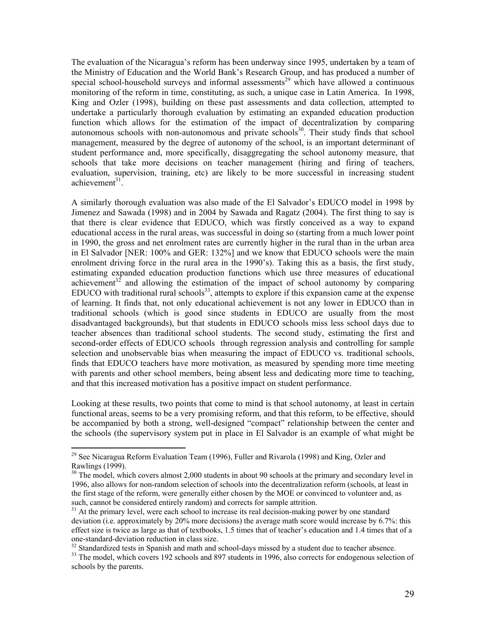The evaluation of the Nicaragua's reform has been underway since 1995, undertaken by a team of the Ministry of Education and the World Bank's Research Group, and has produced a number of special school-household surveys and informal assessments<sup>29</sup> which have allowed a continuous monitoring of the reform in time, constituting, as such, a unique case in Latin America. In 1998, King and Ozler (1998), building on these past assessments and data collection, attempted to undertake a particularly thorough evaluation by estimating an expanded education production function which allows for the estimation of the impact of decentralization by comparing autonomous schools with non-autonomous and private schools<sup>30</sup>. Their study finds that school management, measured by the degree of autonomy of the school, is an important determinant of student performance and, more specifically, disaggregating the school autonomy measure, that schools that take more decisions on teacher management (hiring and firing of teachers, evaluation, supervision, training, etc) are likely to be more successful in increasing student achievement $31$ .

A similarly thorough evaluation was also made of the El Salvador's EDUCO model in 1998 by Jimenez and Sawada (1998) and in 2004 by Sawada and Ragatz (2004). The first thing to say is that there is clear evidence that EDUCO, which was firstly conceived as a way to expand educational access in the rural areas, was successful in doing so (starting from a much lower point in 1990, the gross and net enrolment rates are currently higher in the rural than in the urban area in El Salvador [NER: 100% and GER: 132%] and we know that EDUCO schools were the main enrolment driving force in the rural area in the 1990's). Taking this as a basis, the first study, estimating expanded education production functions which use three measures of educational achievement<sup>32</sup> and allowing the estimation of the impact of school autonomy by comparing EDUCO with traditional rural schools<sup>33</sup>, attempts to explore if this expansion came at the expense of learning. It finds that, not only educational achievement is not any lower in EDUCO than in traditional schools (which is good since students in EDUCO are usually from the most disadvantaged backgrounds), but that students in EDUCO schools miss less school days due to teacher absences than traditional school students. The second study, estimating the first and second-order effects of EDUCO schools through regression analysis and controlling for sample selection and unobservable bias when measuring the impact of EDUCO vs. traditional schools, finds that EDUCO teachers have more motivation, as measured by spending more time meeting with parents and other school members, being absent less and dedicating more time to teaching, and that this increased motivation has a positive impact on student performance.

Looking at these results, two points that come to mind is that school autonomy, at least in certain functional areas, seems to be a very promising reform, and that this reform, to be effective, should be accompanied by both a strong, well-designed "compact" relationship between the center and the schools (the supervisory system put in place in El Salvador is an example of what might be

<sup>&</sup>lt;sup>29</sup> See Nicaragua Reform Evaluation Team (1996), Fuller and Rivarola (1998) and King, Ozler and Rawlings (1999).

<sup>&</sup>lt;sup>30</sup> The model, which covers almost 2,000 students in about 90 schools at the primary and secondary level in 1996, also allows for non-random selection of schools into the decentralization reform (schools, at least in the first stage of the reform, were generally either chosen by the MOE or convinced to volunteer and, as such, cannot be considered entirely random) and corrects for sample attrition.<br><sup>31</sup> At the primary level, were each school to increase its real decision-making power by one standard

deviation (i.e. approximately by 20% more decisions) the average math score would increase by 6.7%: this effect size is twice as large as that of textbooks, 1.5 times that of teacher's education and 1.4 times that of a one-standard-deviation reduction in class size.<br><sup>32</sup> Standardized tests in Spanish and math and school-days missed by a student due to teacher absence.

<sup>&</sup>lt;sup>33</sup> The model, which covers 192 schools and 897 students in 1996, also corrects for endogenous selection of schools by the parents.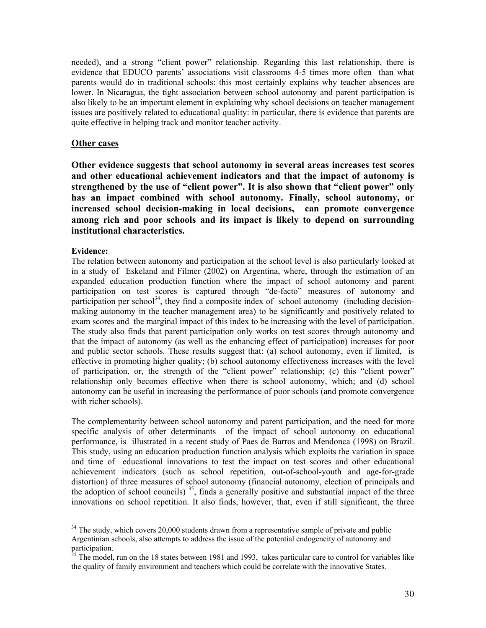needed), and a strong "client power" relationship. Regarding this last relationship, there is evidence that EDUCO parents' associations visit classrooms 4-5 times more often than what parents would do in traditional schools: this most certainly explains why teacher absences are lower. In Nicaragua, the tight association between school autonomy and parent participation is also likely to be an important element in explaining why school decisions on teacher management issues are positively related to educational quality: in particular, there is evidence that parents are quite effective in helping track and monitor teacher activity.

#### **Other cases**

**Other evidence suggests that school autonomy in several areas increases test scores and other educational achievement indicators and that the impact of autonomy is strengthened by the use of "client power". It is also shown that "client power" only has an impact combined with school autonomy. Finally, school autonomy, or increased school decision-making in local decisions, can promote convergence among rich and poor schools and its impact is likely to depend on surrounding institutional characteristics.** 

#### **Evidence:**

 $\overline{a}$ 

The relation between autonomy and participation at the school level is also particularly looked at in a study of Eskeland and Filmer (2002) on Argentina, where, through the estimation of an expanded education production function where the impact of school autonomy and parent participation on test scores is captured through "de-facto" measures of autonomy and participation per school<sup>34</sup>, they find a composite index of school autonomy (including decisionmaking autonomy in the teacher management area) to be significantly and positively related to exam scores and the marginal impact of this index to be increasing with the level of participation. The study also finds that parent participation only works on test scores through autonomy and that the impact of autonomy (as well as the enhancing effect of participation) increases for poor and public sector schools. These results suggest that: (a) school autonomy, even if limited, is effective in promoting higher quality; (b) school autonomy effectiveness increases with the level of participation, or, the strength of the "client power" relationship; (c) this "client power" relationship only becomes effective when there is school autonomy, which; and (d) school autonomy can be useful in increasing the performance of poor schools (and promote convergence with richer schools).

The complementarity between school autonomy and parent participation, and the need for more specific analysis of other determinants of the impact of school autonomy on educational performance, is illustrated in a recent study of Paes de Barros and Mendonca (1998) on Brazil. This study, using an education production function analysis which exploits the variation in space and time of educational innovations to test the impact on test scores and other educational achievement indicators (such as school repetition, out-of-school-youth and age-for-grade distortion) of three measures of school autonomy (financial autonomy, election of principals and the adoption of school councils)<sup>35</sup>, finds a generally positive and substantial impact of the three innovations on school repetition. It also finds, however, that, even if still significant, the three

 $34$  The study, which covers 20,000 students drawn from a representative sample of private and public Argentinian schools, also attempts to address the issue of the potential endogeneity of autonomy and participation.

<sup>&</sup>lt;sup>35</sup> The model, run on the 18 states between 1981 and 1993, takes particular care to control for variables like the quality of family environment and teachers which could be correlate with the innovative States.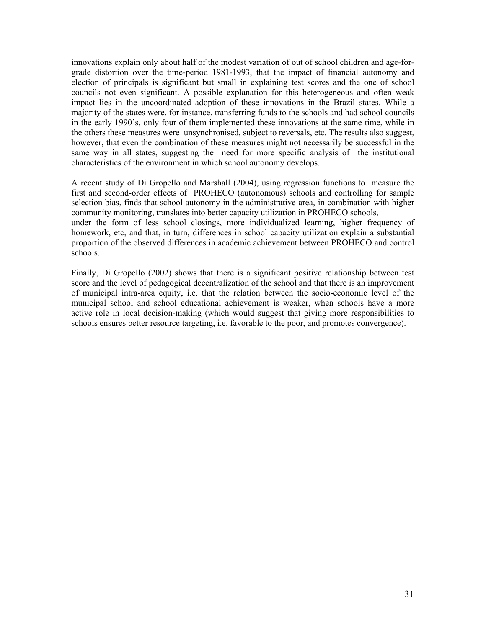innovations explain only about half of the modest variation of out of school children and age-forgrade distortion over the time-period 1981-1993, that the impact of financial autonomy and election of principals is significant but small in explaining test scores and the one of school councils not even significant. A possible explanation for this heterogeneous and often weak impact lies in the uncoordinated adoption of these innovations in the Brazil states. While a majority of the states were, for instance, transferring funds to the schools and had school councils in the early 1990's, only four of them implemented these innovations at the same time, while in the others these measures were unsynchronised, subject to reversals, etc. The results also suggest, however, that even the combination of these measures might not necessarily be successful in the same way in all states, suggesting the need for more specific analysis of the institutional characteristics of the environment in which school autonomy develops.

A recent study of Di Gropello and Marshall (2004), using regression functions to measure the first and second-order effects of PROHECO (autonomous) schools and controlling for sample selection bias, finds that school autonomy in the administrative area, in combination with higher community monitoring, translates into better capacity utilization in PROHECO schools, under the form of less school closings, more individualized learning, higher frequency of

homework, etc, and that, in turn, differences in school capacity utilization explain a substantial proportion of the observed differences in academic achievement between PROHECO and control schools.

Finally, Di Gropello (2002) shows that there is a significant positive relationship between test score and the level of pedagogical decentralization of the school and that there is an improvement of municipal intra-area equity, i.e. that the relation between the socio-economic level of the municipal school and school educational achievement is weaker, when schools have a more active role in local decision-making (which would suggest that giving more responsibilities to schools ensures better resource targeting, i.e. favorable to the poor, and promotes convergence).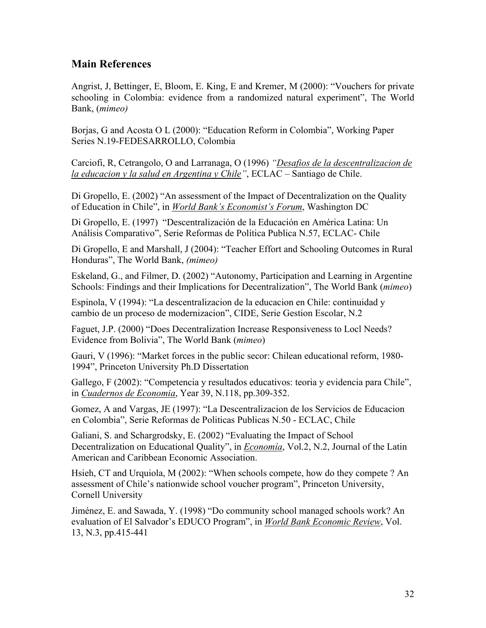# **Main References**

Angrist, J, Bettinger, E, Bloom, E. King, E and Kremer, M (2000): "Vouchers for private schooling in Colombia: evidence from a randomized natural experiment", The World Bank, (*mimeo)*

Borjas, G and Acosta O L (2000): "Education Reform in Colombia", Working Paper Series N.19-FEDESARROLLO, Colombia

Carciofi, R, Cetrangolo, O and Larranaga, O (1996) *"Desafios de la descentralizacion de la educacion y la salud en Argentina y Chile"*, ECLAC – Santiago de Chile.

Di Gropello, E. (2002) "An assessment of the Impact of Decentralization on the Quality of Education in Chile", in *World Bank's Economist's Forum*, Washington DC

Di Gropello, E. (1997) "Descentralización de la Educación en América Latina: Un Análisis Comparativo", Serie Reformas de Política Publica N.57, ECLAC- Chile

Di Gropello, E and Marshall, J (2004): "Teacher Effort and Schooling Outcomes in Rural Honduras", The World Bank, *(mimeo)*

Eskeland, G., and Filmer, D. (2002) "Autonomy, Participation and Learning in Argentine Schools: Findings and their Implications for Decentralization", The World Bank (*mimeo*)

Espinola, V (1994): "La descentralizacion de la educacion en Chile: continuidad y cambio de un proceso de modernizacion", CIDE, Serie Gestion Escolar, N.2

Faguet, J.P. (2000) "Does Decentralization Increase Responsiveness to Locl Needs? Evidence from Bolivia", The World Bank (*mimeo*)

Gauri, V (1996): "Market forces in the public secor: Chilean educational reform, 1980- 1994", Princeton University Ph.D Dissertation

Gallego, F (2002): "Competencia y resultados educativos: teoria y evidencia para Chile", in *Cuadernos de Economia*, Year 39, N.118, pp.309-352.

Gomez, A and Vargas, JE (1997): "La Descentralizacion de los Servicios de Educacion en Colombia", Serie Reformas de Politicas Publicas N.50 - ECLAC, Chile

Galiani, S. and Schargrodsky, E. (2002) "Evaluating the Impact of School Decentralization on Educational Quality", in *Economía*, Vol.2, N.2, Journal of the Latin American and Caribbean Economic Association.

Hsieh, CT and Urquiola, M (2002): "When schools compete, how do they compete ? An assessment of Chile's nationwide school voucher program", Princeton University, Cornell University

Jiménez, E. and Sawada, Y. (1998) "Do community school managed schools work? An evaluation of El Salvador's EDUCO Program", in *World Bank Economic Review*, Vol. 13, N.3, pp.415-441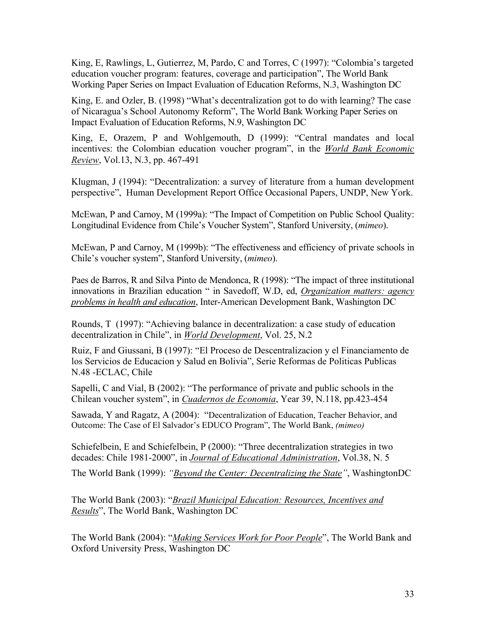King, E, Rawlings, L, Gutierrez, M, Pardo, C and Torres, C (1997): "Colombia's targeted education voucher program: features, coverage and participation", The World Bank Working Paper Series on Impact Evaluation of Education Reforms, N.3, Washington DC

King, E. and Ozler, B. (1998) "What's decentralization got to do with learning? The case of Nicaragua's School Autonomy Reform", The World Bank Working Paper Series on Impact Evaluation of Education Reforms, N.9, Washington DC

King, E, Orazem, P and Wohlgemouth, D (1999): "Central mandates and local incentives: the Colombian education voucher program", in the *World Bank Economic Review*, Vol.13, N.3, pp. 467-491

Klugman, J (1994): "Decentralization: a survey of literature from a human development perspective", Human Development Report Office Occasional Papers, UNDP, New York.

McEwan, P and Carnoy, M (1999a): "The Impact of Competition on Public School Quality: Longitudinal Evidence from Chile's Voucher System", Stanford University, (*mimeo*).

McEwan, P and Carnoy, M (1999b): "The effectiveness and efficiency of private schools in Chile's voucher system", Stanford University, (*mimeo*).

Paes de Barros, R and Silva Pinto de Mendonca, R (1998): "The impact of three institutional innovations in Brazilian education " in Savedoff, W.D, ed, *Organization matters: agency problems in health and education*, Inter-American Development Bank, Washington DC

Rounds, T (1997): "Achieving balance in decentralization: a case study of education decentralization in Chile", in *World Development*, Vol. 25, N.2

Ruiz, F and Giussani, B (1997): "El Proceso de Descentralizacion y el Financiamento de los Servicios de Educacion y Salud en Bolivia", Serie Reformas de Politicas Publicas N.48 -ECLAC, Chile

Sapelli, C and Vial, B (2002): "The performance of private and public schools in the Chilean voucher system", in *Cuadernos de Economia*, Year 39, N.118, pp.423-454

Sawada, Y and Ragatz, A (2004): "Decentralization of Education, Teacher Behavior, and Outcome: The Case of El Salvador's EDUCO Program", The World Bank, *(mimeo)*

Schiefelbein, E and Schiefelbein, P (2000): "Three decentralization strategies in two decades: Chile 1981-2000", in *Journal of Educational Administration*, Vol.38, N. 5

The World Bank (1999): *"Beyond the Center: Decentralizing the State"*, WashingtonDC

The World Bank (2003): "*Brazil Municipal Education: Resources, Incentives and Results*", The World Bank, Washington DC

The World Bank (2004): "*Making Services Work for Poor People*", The World Bank and Oxford University Press, Washington DC